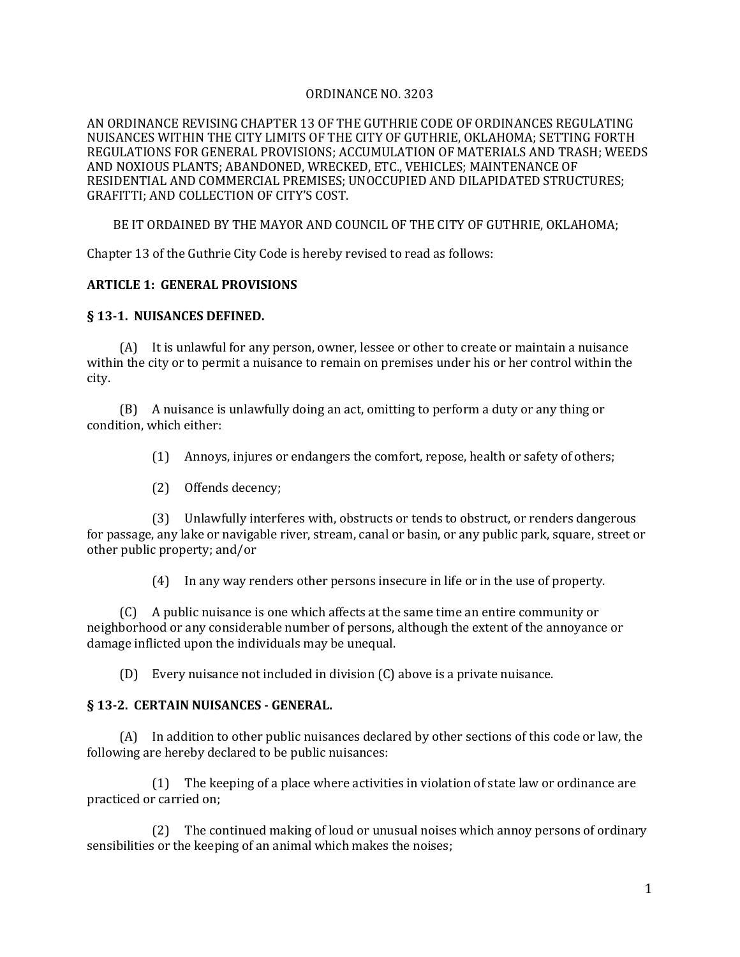#### ORDINANCE NO. 3203

AN ORDINANCE REVISING CHAPTER 13 OF THE GUTHRIE CODE OF ORDINANCES REGULATING NUISANCES WITHIN THE CITY LIMITS OF THE CITY OF GUTHRIE, OKLAHOMA; SETTING FORTH REGULATIONS FOR GENERAL PROVISIONS; ACCUMULATION OF MATERIALS AND TRASH; WEEDS AND NOXIOUS PLANTS; ABANDONED, WRECKED, ETC., VEHICLES; MAINTENANCE OF RESIDENTIAL AND COMMERCIAL PREMISES; UNOCCUPIED AND DILAPIDATED STRUCTURES; GRAFITTI; AND COLLECTION OF CITY'S COST.

BE IT ORDAINED BY THE MAYOR AND COUNCIL OF THE CITY OF GUTHRIE, OKLAHOMA;

Chapter 13 of the Guthrie City Code is hereby revised to read as follows:

#### **ARTICLE 1: GENERAL PROVISIONS**

#### **§ 13-1. NUISANCES DEFINED.**

(A) It is unlawful for any person, owner, lessee or other to create or maintain a nuisance within the city or to permit a nuisance to remain on premises under his or her control within the city.

(B) A nuisance is unlawfully doing an act, omitting to perform a duty or any thing or condition, which either:

(1) Annoys, injures or endangers the comfort, repose, health or safety of others;

(2) Offends decency;

(3) Unlawfully interferes with, obstructs or tends to obstruct, or renders dangerous for passage, any lake or navigable river, stream, canal or basin, or any public park, square, street or other public property; and/or

(4) In any way renders other persons insecure in life or in the use of property.

(C) A public nuisance is one which affects at the same time an entire community or neighborhood or any considerable number of persons, although the extent of the annoyance or damage inflicted upon the individuals may be unequal.

(D) Every nuisance not included in division (C) above is a private nuisance.

#### **§ 13-2. CERTAIN NUISANCES - GENERAL.**

(A) In addition to other public nuisances declared by other sections of this code or law, the following are hereby declared to be public nuisances:

(1) The keeping of a place where activities in violation of state law or ordinance are practiced or carried on;

(2) The continued making of loud or unusual noises which annoy persons of ordinary sensibilities or the keeping of an animal which makes the noises;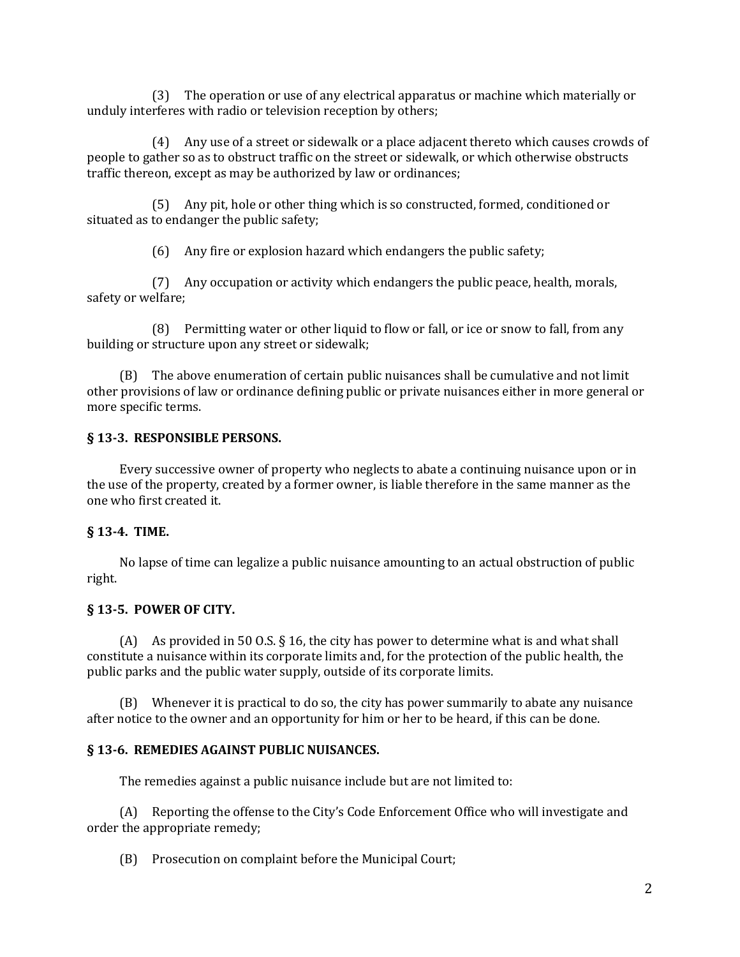(3) The operation or use of any electrical apparatus or machine which materially or unduly interferes with radio or television reception by others;

(4) Any use of a street or sidewalk or a place adjacent thereto which causes crowds of people to gather so as to obstruct traffic on the street or sidewalk, or which otherwise obstructs traffic thereon, except as may be authorized by law or ordinances;

(5) Any pit, hole or other thing which is so constructed, formed, conditioned or situated as to endanger the public safety;

(6) Any fire or explosion hazard which endangers the public safety;

(7) Any occupation or activity which endangers the public peace, health, morals, safety or welfare;

(8) Permitting water or other liquid to flow or fall, or ice or snow to fall, from any building or structure upon any street or sidewalk;

(B) The above enumeration of certain public nuisances shall be cumulative and not limit other provisions of law or ordinance defining public or private nuisances either in more general or more specific terms.

## **§ 13-3. RESPONSIBLE PERSONS.**

Every successive owner of property who neglects to abate a continuing nuisance upon or in the use of the property, created by a former owner, is liable therefore in the same manner as the one who first created it.

## **§ 13-4. TIME.**

No lapse of time can legalize a public nuisance amounting to an actual obstruction of public right.

## **§ 13-5. POWER OF CITY.**

(A) As provided in 50 O.S.  $\S$  16, the city has power to determine what is and what shall constitute a nuisance within its corporate limits and, for the protection of the public health, the public parks and the public water supply, outside of its corporate limits.

(B) Whenever it is practical to do so, the city has power summarily to abate any nuisance after notice to the owner and an opportunity for him or her to be heard, if this can be done.

#### **§ 13-6. REMEDIES AGAINST PUBLIC NUISANCES.**

The remedies against a public nuisance include but are not limited to:

(A) Reporting the offense to the City's Code Enforcement Office who will investigate and order the appropriate remedy;

(B) Prosecution on complaint before the Municipal Court;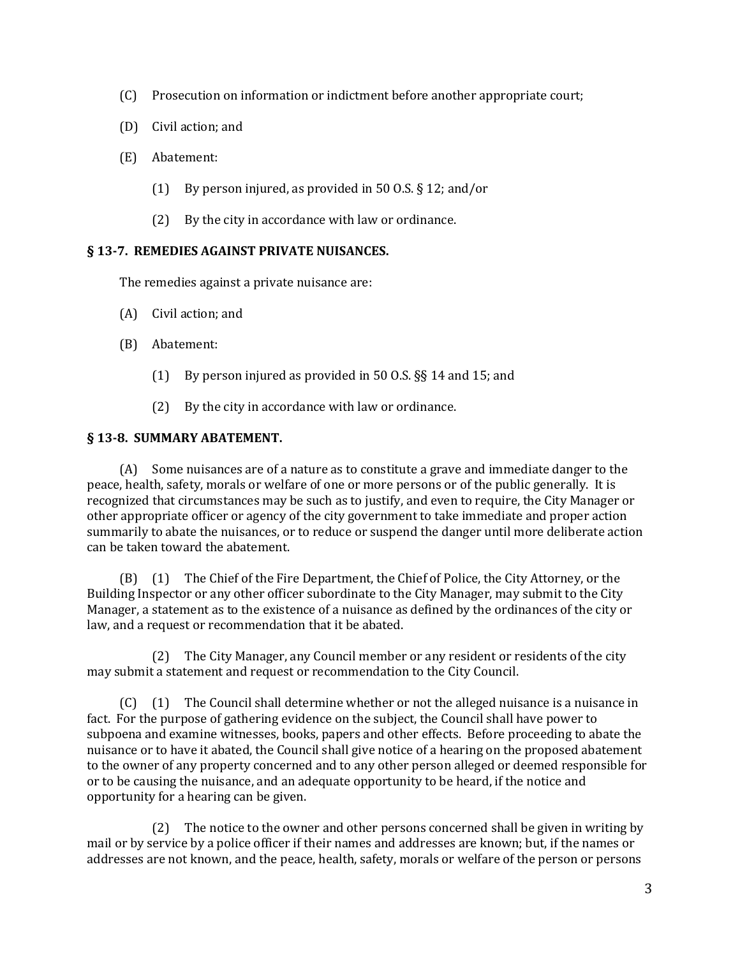- (C) Prosecution on information or indictment before another appropriate court;
- (D) Civil action; and
- (E) Abatement:
	- (1) By person injured, as provided in 50 O.S. § 12; and/or
	- (2) By the city in accordance with law or ordinance.

## **§ 13-7. REMEDIES AGAINST PRIVATE NUISANCES.**

The remedies against a private nuisance are:

- (A) Civil action; and
- (B) Abatement:
	- (1) By person injured as provided in 50 O.S. §§ 14 and 15; and
	- (2) By the city in accordance with law or ordinance.

# **§ 13-8. SUMMARY ABATEMENT.**

(A) Some nuisances are of a nature as to constitute a grave and immediate danger to the peace, health, safety, morals or welfare of one or more persons or of the public generally. It is recognized that circumstances may be such as to justify, and even to require, the City Manager or other appropriate officer or agency of the city government to take immediate and proper action summarily to abate the nuisances, or to reduce or suspend the danger until more deliberate action can be taken toward the abatement.

(B) (1) The Chief of the Fire Department, the Chief of Police, the City Attorney, or the Building Inspector or any other officer subordinate to the City Manager, may submit to the City Manager, a statement as to the existence of a nuisance as defined by the ordinances of the city or law, and a request or recommendation that it be abated.

(2) The City Manager, any Council member or any resident or residents of the city may submit a statement and request or recommendation to the City Council.

(C) (1) The Council shall determine whether or not the alleged nuisance is a nuisance in fact. For the purpose of gathering evidence on the subject, the Council shall have power to subpoena and examine witnesses, books, papers and other effects. Before proceeding to abate the nuisance or to have it abated, the Council shall give notice of a hearing on the proposed abatement to the owner of any property concerned and to any other person alleged or deemed responsible for or to be causing the nuisance, and an adequate opportunity to be heard, if the notice and opportunity for a hearing can be given.

(2) The notice to the owner and other persons concerned shall be given in writing by mail or by service by a police officer if their names and addresses are known; but, if the names or addresses are not known, and the peace, health, safety, morals or welfare of the person or persons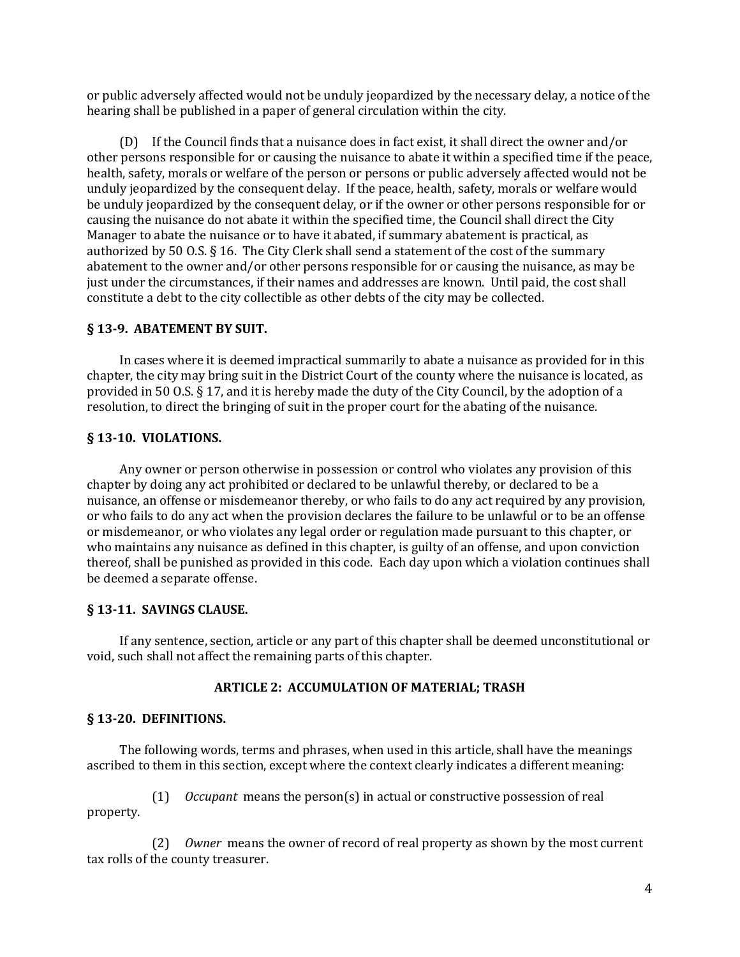or public adversely affected would not be unduly jeopardized by the necessary delay, a notice of the hearing shall be published in a paper of general circulation within the city.

(D) If the Council finds that a nuisance does in fact exist, it shall direct the owner and/or other persons responsible for or causing the nuisance to abate it within a specified time if the peace, health, safety, morals or welfare of the person or persons or public adversely affected would not be unduly jeopardized by the consequent delay. If the peace, health, safety, morals or welfare would be unduly jeopardized by the consequent delay, or if the owner or other persons responsible for or causing the nuisance do not abate it within the specified time, the Council shall direct the City Manager to abate the nuisance or to have it abated, if summary abatement is practical, as authorized by 50 O.S.  $\S$  16. The City Clerk shall send a statement of the cost of the summary abatement to the owner and/or other persons responsible for or causing the nuisance, as may be just under the circumstances, if their names and addresses are known. Until paid, the cost shall constitute a debt to the city collectible as other debts of the city may be collected.

#### **§ 13-9. ABATEMENT BY SUIT.**

In cases where it is deemed impractical summarily to abate a nuisance as provided for in this chapter, the city may bring suit in the District Court of the county where the nuisance is located, as provided in 50 O.S. § 17, and it is hereby made the duty of the City Council, by the adoption of a resolution, to direct the bringing of suit in the proper court for the abating of the nuisance.

#### **§ 13-10. VIOLATIONS.**

Any owner or person otherwise in possession or control who violates any provision of this chapter by doing any act prohibited or declared to be unlawful thereby, or declared to be a nuisance, an offense or misdemeanor thereby, or who fails to do any act required by any provision, or who fails to do any act when the provision declares the failure to be unlawful or to be an offense or misdemeanor, or who violates any legal order or regulation made pursuant to this chapter, or who maintains any nuisance as defined in this chapter, is guilty of an offense, and upon conviction thereof, shall be punished as provided in this code. Each day upon which a violation continues shall be deemed a separate offense.

## **§ 13-11. SAVINGS CLAUSE.**

If any sentence, section, article or any part of this chapter shall be deemed unconstitutional or void, such shall not affect the remaining parts of this chapter.

#### **ARTICLE 2: ACCUMULATION OF MATERIAL; TRASH**

#### **§ 13-20. DEFINITIONS.**

The following words, terms and phrases, when used in this article, shall have the meanings ascribed to them in this section, except where the context clearly indicates a different meaning:

(1) *Occupant* means the person(s) in actual or constructive possession of real property.

(2) *Owner* means the owner of record of real property as shown by the most current tax rolls of the county treasurer.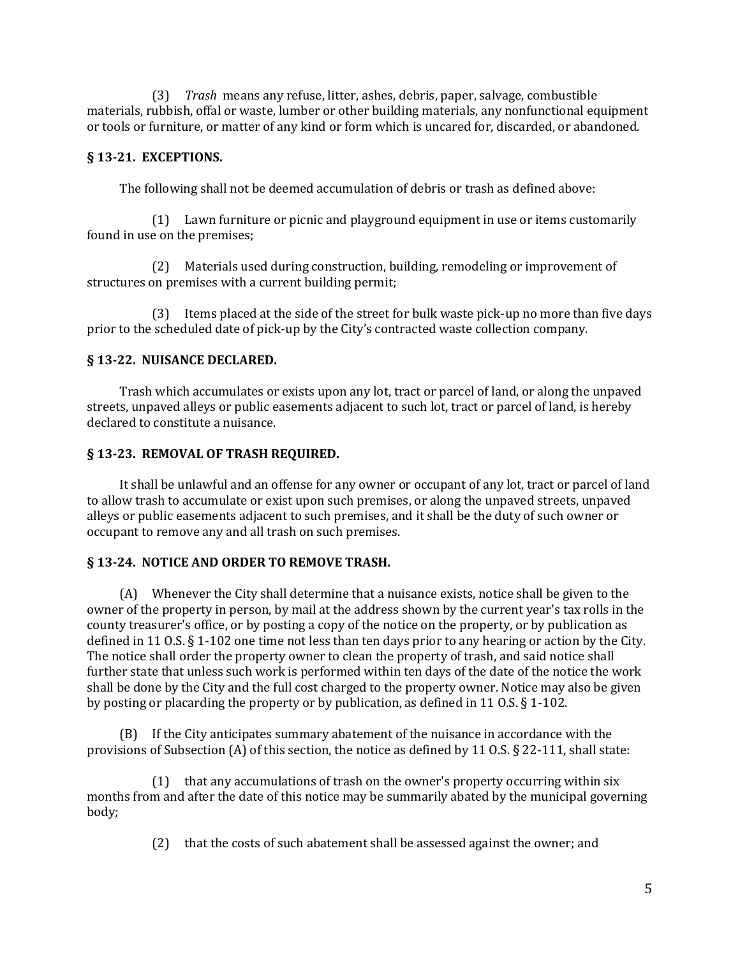(3) *Trash* means any refuse, litter, ashes, debris, paper, salvage, combustible materials, rubbish, offal or waste, lumber or other building materials, any nonfunctional equipment or tools or furniture, or matter of any kind or form which is uncared for, discarded, or abandoned.

# **§ 13-21. EXCEPTIONS.**

The following shall not be deemed accumulation of debris or trash as defined above:

(1) Lawn furniture or picnic and playground equipment in use or items customarily found in use on the premises;

(2) Materials used during construction, building, remodeling or improvement of structures on premises with a current building permit;

(3) Items placed at the side of the street for bulk waste pick-up no more than five days prior to the scheduled date of pick-up by the City's contracted waste collection company.

# **§ 13-22. NUISANCE DECLARED.**

Trash which accumulates or exists upon any lot, tract or parcel of land, or along the unpaved streets, unpaved alleys or public easements adjacent to such lot, tract or parcel of land, is hereby declared to constitute a nuisance.

# **§ 13-23. REMOVAL OF TRASH REQUIRED.**

It shall be unlawful and an offense for any owner or occupant of any lot, tract or parcel of land to allow trash to accumulate or exist upon such premises, or along the unpaved streets, unpaved alleys or public easements adjacent to such premises, and it shall be the duty of such owner or occupant to remove any and all trash on such premises.

# **§ 13-24. NOTICE AND ORDER TO REMOVE TRASH.**

(A) Whenever the City shall determine that a nuisance exists, notice shall be given to the owner of the property in person, by mail at the address shown by the current year's tax rolls in the county treasurer's office, or by posting a copy of the notice on the property, or by publication as defined in 11 O.S. § 1-102 one time not less than ten days prior to any hearing or action by the City. The notice shall order the property owner to clean the property of trash, and said notice shall further state that unless such work is performed within ten days of the date of the notice the work shall be done by the City and the full cost charged to the property owner. Notice may also be given by posting or placarding the property or by publication, as defined in 11 O.S. § 1-102.

(B) If the City anticipates summary abatement of the nuisance in accordance with the provisions of Subsection (A) of this section, the notice as defined by 11 O.S. § 22-111, shall state:

(1) that any accumulations of trash on the owner's property occurring within six months from and after the date of this notice may be summarily abated by the municipal governing body;

(2) that the costs of such abatement shall be assessed against the owner; and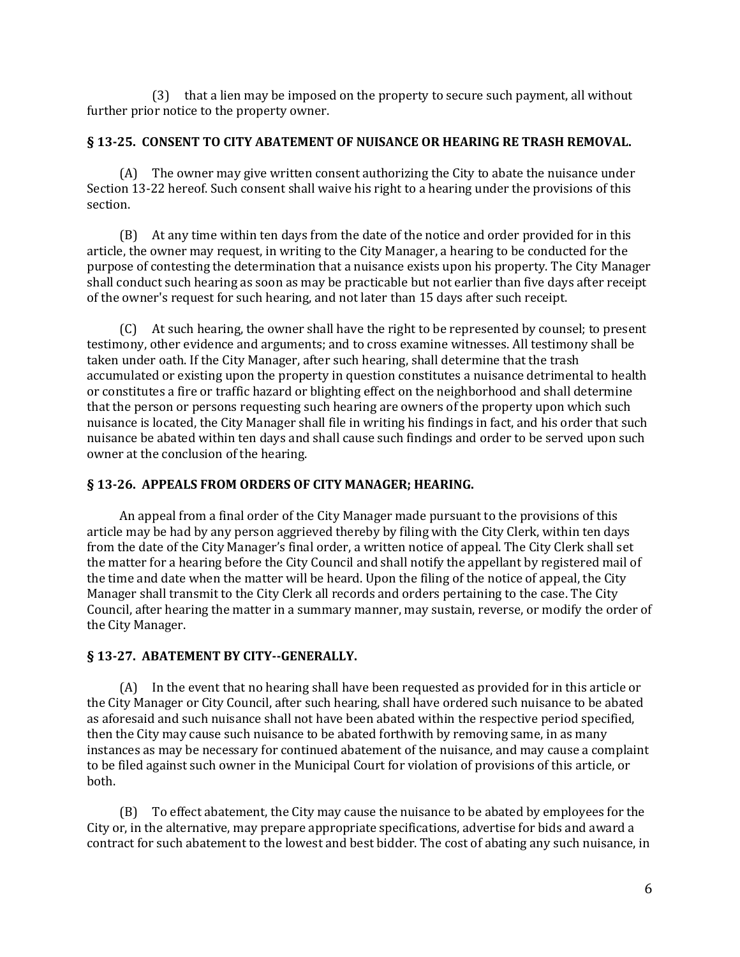(3) that a lien may be imposed on the property to secure such payment, all without further prior notice to the property owner.

#### **§ 13-25. CONSENT TO CITY ABATEMENT OF NUISANCE OR HEARING RE TRASH REMOVAL.**

(A) The owner may give written consent authorizing the City to abate the nuisance under Section 13-22 hereof. Such consent shall waive his right to a hearing under the provisions of this section.

(B) At any time within ten days from the date of the notice and order provided for in this article, the owner may request, in writing to the City Manager, a hearing to be conducted for the purpose of contesting the determination that a nuisance exists upon his property. The City Manager shall conduct such hearing as soon as may be practicable but not earlier than five days after receipt of the owner's request for such hearing, and not later than 15 days after such receipt.

(C) At such hearing, the owner shall have the right to be represented by counsel; to present testimony, other evidence and arguments; and to cross examine witnesses. All testimony shall be taken under oath. If the City Manager, after such hearing, shall determine that the trash accumulated or existing upon the property in question constitutes a nuisance detrimental to health or constitutes a fire or traffic hazard or blighting effect on the neighborhood and shall determine that the person or persons requesting such hearing are owners of the property upon which such nuisance is located, the City Manager shall file in writing his findings in fact, and his order that such nuisance be abated within ten days and shall cause such findings and order to be served upon such owner at the conclusion of the hearing.

## **§ 13-26. APPEALS FROM ORDERS OF CITY MANAGER; HEARING.**

An appeal from a final order of the City Manager made pursuant to the provisions of this article may be had by any person aggrieved thereby by filing with the City Clerk, within ten days from the date of the City Manager's final order, a written notice of appeal. The City Clerk shall set the matter for a hearing before the City Council and shall notify the appellant by registered mail of the time and date when the matter will be heard. Upon the filing of the notice of appeal, the City Manager shall transmit to the City Clerk all records and orders pertaining to the case. The City Council, after hearing the matter in a summary manner, may sustain, reverse, or modify the order of the City Manager.

#### **§ 13-27. ABATEMENT BY CITY--GENERALLY.**

(A) In the event that no hearing shall have been requested as provided for in this article or the City Manager or City Council, after such hearing, shall have ordered such nuisance to be abated as aforesaid and such nuisance shall not have been abated within the respective period specified, then the City may cause such nuisance to be abated forthwith by removing same, in as many instances as may be necessary for continued abatement of the nuisance, and may cause a complaint to be filed against such owner in the Municipal Court for violation of provisions of this article, or both.

(B) To effect abatement, the City may cause the nuisance to be abated by employees for the City or, in the alternative, may prepare appropriate specifications, advertise for bids and award a contract for such abatement to the lowest and best bidder. The cost of abating any such nuisance, in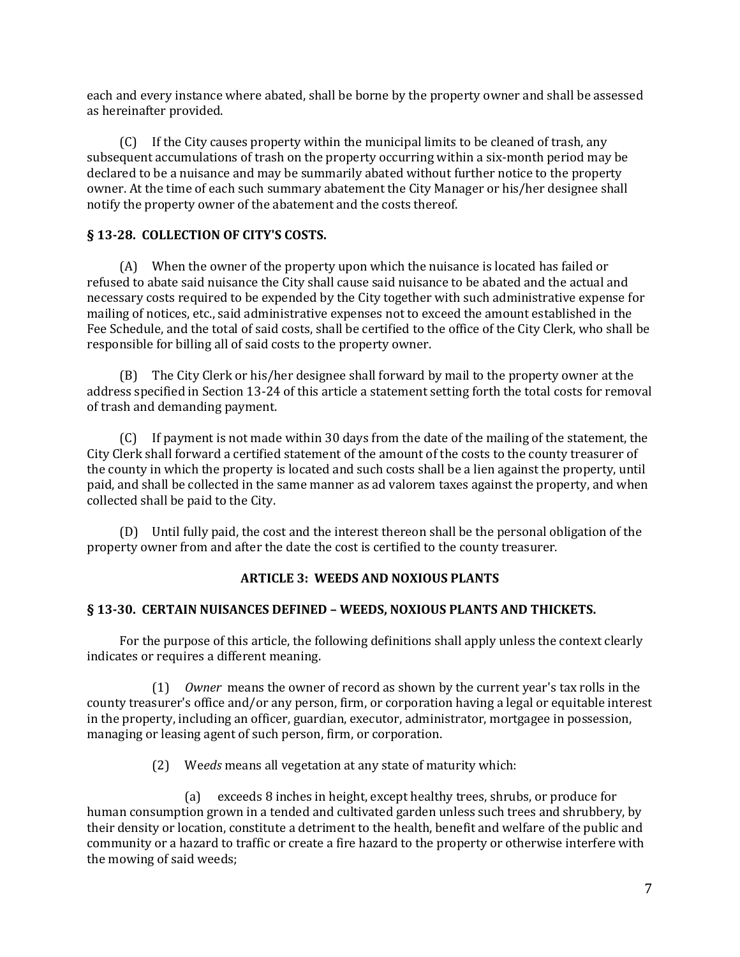each and every instance where abated, shall be borne by the property owner and shall be assessed as hereinafter provided.

(C) If the City causes property within the municipal limits to be cleaned of trash, any subsequent accumulations of trash on the property occurring within a six-month period may be declared to be a nuisance and may be summarily abated without further notice to the property owner. At the time of each such summary abatement the City Manager or his/her designee shall notify the property owner of the abatement and the costs thereof.

# **§ 13-28. COLLECTION OF CITY'S COSTS.**

(A) When the owner of the property upon which the nuisance is located has failed or refused to abate said nuisance the City shall cause said nuisance to be abated and the actual and necessary costs required to be expended by the City together with such administrative expense for mailing of notices, etc., said administrative expenses not to exceed the amount established in the Fee Schedule, and the total of said costs, shall be certified to the office of the City Clerk, who shall be responsible for billing all of said costs to the property owner.

(B) The City Clerk or his/her designee shall forward by mail to the property owner at the address specified in Section 13-24 of this article a statement setting forth the total costs for removal of trash and demanding payment.

(C) If payment is not made within 30 days from the date of the mailing of the statement, the City Clerk shall forward a certified statement of the amount of the costs to the county treasurer of the county in which the property is located and such costs shall be a lien against the property, until paid, and shall be collected in the same manner as ad valorem taxes against the property, and when collected shall be paid to the City.

(D) Until fully paid, the cost and the interest thereon shall be the personal obligation of the property owner from and after the date the cost is certified to the county treasurer.

# **ARTICLE 3: WEEDS AND NOXIOUS PLANTS**

# **§ 13-30. CERTAIN NUISANCES DEFINED – WEEDS, NOXIOUS PLANTS AND THICKETS.**

For the purpose of this article, the following definitions shall apply unless the context clearly indicates or requires a different meaning.

(1) *Owner* means the owner of record as shown by the current year's tax rolls in the county treasurer's office and/or any person, firm, or corporation having a legal or equitable interest in the property, including an officer, guardian, executor, administrator, mortgagee in possession, managing or leasing agent of such person, firm, or corporation.

(2) We*eds* means all vegetation at any state of maturity which:

(a) exceeds 8 inches in height, except healthy trees, shrubs, or produce for human consumption grown in a tended and cultivated garden unless such trees and shrubbery, by their density or location, constitute a detriment to the health, benefit and welfare of the public and community or a hazard to traffic or create a fire hazard to the property or otherwise interfere with the mowing of said weeds;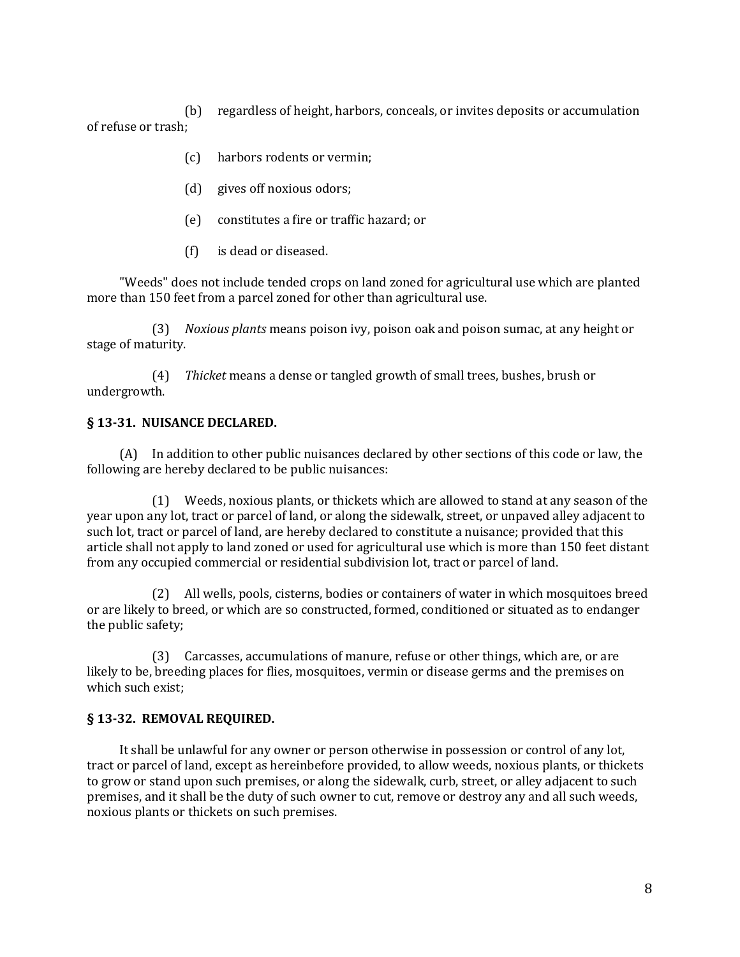(b) regardless of height, harbors, conceals, or invites deposits or accumulation of refuse or trash;

- (c) harbors rodents or vermin;
- (d) gives off noxious odors;
- (e) constitutes a fire or traffic hazard; or
- (f) is dead or diseased.

"Weeds" does not include tended crops on land zoned for agricultural use which are planted more than 150 feet from a parcel zoned for other than agricultural use.

(3) *Noxious plants* means poison ivy, poison oak and poison sumac, at any height or stage of maturity.

(4) *Thicket* means a dense or tangled growth of small trees, bushes, brush or undergrowth.

#### **§ 13-31. NUISANCE DECLARED.**

(A) In addition to other public nuisances declared by other sections of this code or law, the following are hereby declared to be public nuisances:

(1) Weeds, noxious plants, or thickets which are allowed to stand at any season of the year upon any lot, tract or parcel of land, or along the sidewalk, street, or unpaved alley adjacent to such lot, tract or parcel of land, are hereby declared to constitute a nuisance; provided that this article shall not apply to land zoned or used for agricultural use which is more than 150 feet distant from any occupied commercial or residential subdivision lot, tract or parcel of land.

(2) All wells, pools, cisterns, bodies or containers of water in which mosquitoes breed or are likely to breed, or which are so constructed, formed, conditioned or situated as to endanger the public safety;

(3) Carcasses, accumulations of manure, refuse or other things, which are, or are likely to be, breeding places for flies, mosquitoes, vermin or disease germs and the premises on which such exist;

## **§ 13-32. REMOVAL REQUIRED.**

It shall be unlawful for any owner or person otherwise in possession or control of any lot, tract or parcel of land, except as hereinbefore provided, to allow weeds, noxious plants, or thickets to grow or stand upon such premises, or along the sidewalk, curb, street, or alley adjacent to such premises, and it shall be the duty of such owner to cut, remove or destroy any and all such weeds, noxious plants or thickets on such premises.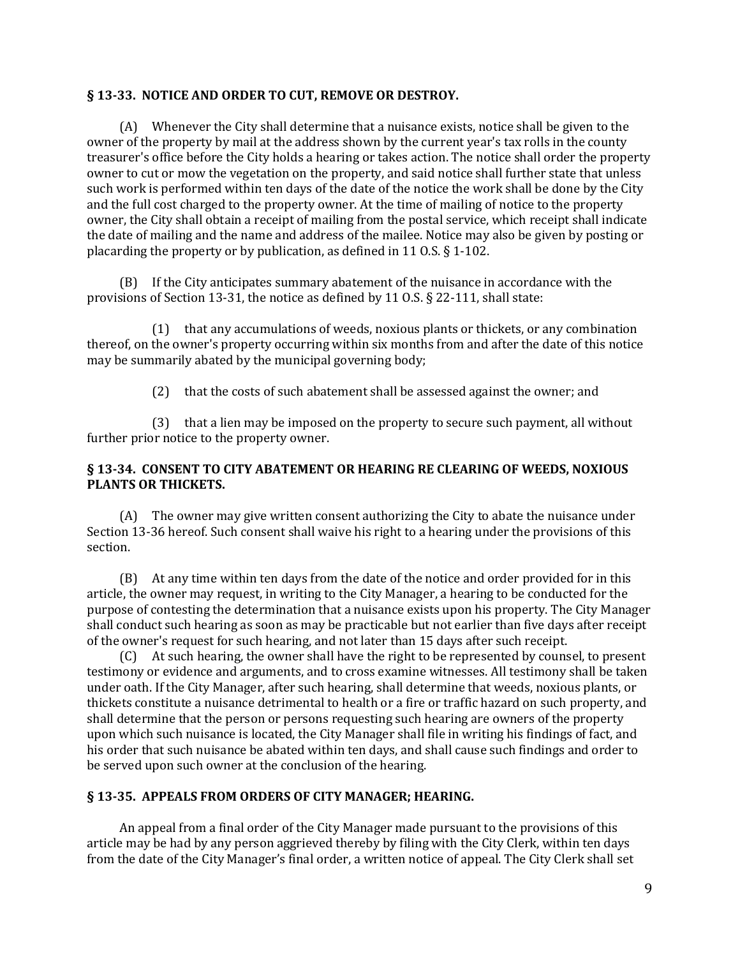#### **§ 13-33. NOTICE AND ORDER TO CUT, REMOVE OR DESTROY.**

(A) Whenever the City shall determine that a nuisance exists, notice shall be given to the owner of the property by mail at the address shown by the current year's tax rolls in the county treasurer's office before the City holds a hearing or takes action. The notice shall order the property owner to cut or mow the vegetation on the property, and said notice shall further state that unless such work is performed within ten days of the date of the notice the work shall be done by the City and the full cost charged to the property owner. At the time of mailing of notice to the property owner, the City shall obtain a receipt of mailing from the postal service, which receipt shall indicate the date of mailing and the name and address of the mailee. Notice may also be given by posting or placarding the property or by publication, as defined in 11 O.S. § 1-102.

(B) If the City anticipates summary abatement of the nuisance in accordance with the provisions of Section 13-31, the notice as defined by 11 O.S. § 22-111, shall state:

(1) that any accumulations of weeds, noxious plants or thickets, or any combination thereof, on the owner's property occurring within six months from and after the date of this notice may be summarily abated by the municipal governing body;

(2) that the costs of such abatement shall be assessed against the owner; and

(3) that a lien may be imposed on the property to secure such payment, all without further prior notice to the property owner.

## **§ 13-34. CONSENT TO CITY ABATEMENT OR HEARING RE CLEARING OF WEEDS, NOXIOUS PLANTS OR THICKETS.**

(A) The owner may give written consent authorizing the City to abate the nuisance under Section 13-36 hereof. Such consent shall waive his right to a hearing under the provisions of this section.

(B) At any time within ten days from the date of the notice and order provided for in this article, the owner may request, in writing to the City Manager, a hearing to be conducted for the purpose of contesting the determination that a nuisance exists upon his property. The City Manager shall conduct such hearing as soon as may be practicable but not earlier than five days after receipt of the owner's request for such hearing, and not later than 15 days after such receipt.

(C) At such hearing, the owner shall have the right to be represented by counsel, to present testimony or evidence and arguments, and to cross examine witnesses. All testimony shall be taken under oath. If the City Manager, after such hearing, shall determine that weeds, noxious plants, or thickets constitute a nuisance detrimental to health or a fire or traffic hazard on such property, and shall determine that the person or persons requesting such hearing are owners of the property upon which such nuisance is located, the City Manager shall file in writing his findings of fact, and his order that such nuisance be abated within ten days, and shall cause such findings and order to be served upon such owner at the conclusion of the hearing.

## **§ 13-35. APPEALS FROM ORDERS OF CITY MANAGER; HEARING.**

An appeal from a final order of the City Manager made pursuant to the provisions of this article may be had by any person aggrieved thereby by filing with the City Clerk, within ten days from the date of the City Manager's final order, a written notice of appeal. The City Clerk shall set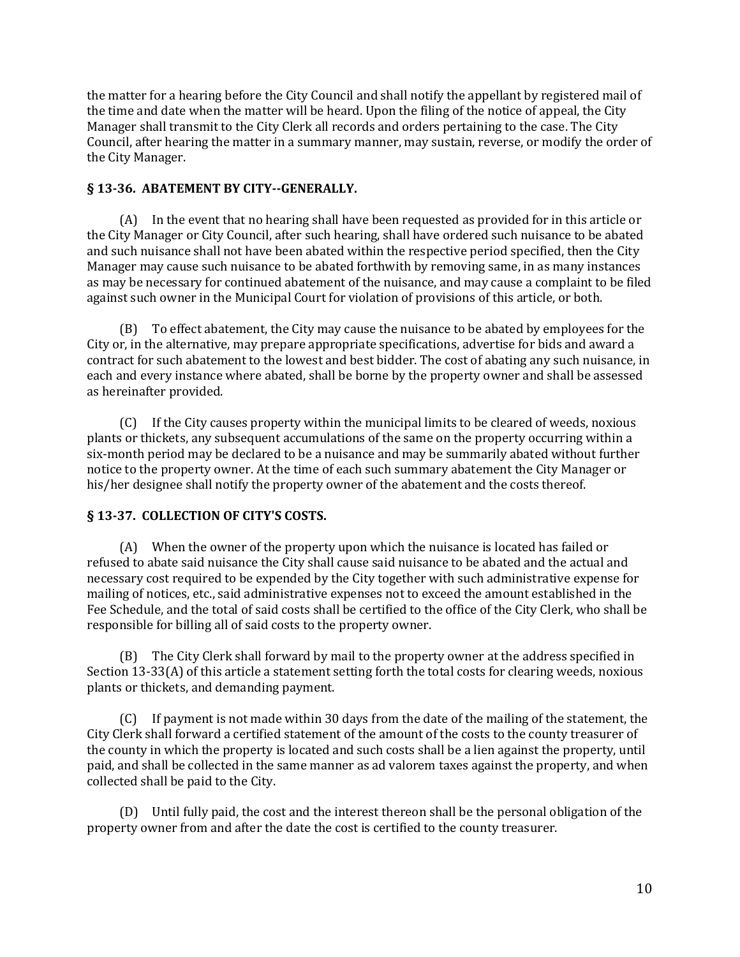the matter for a hearing before the City Council and shall notify the appellant by registered mail of the time and date when the matter will be heard. Upon the filing of the notice of appeal, the City Manager shall transmit to the City Clerk all records and orders pertaining to the case. The City Council, after hearing the matter in a summary manner, may sustain, reverse, or modify the order of the City Manager.

# **§ 13-36. ABATEMENT BY CITY--GENERALLY.**

(A) In the event that no hearing shall have been requested as provided for in this article or the City Manager or City Council, after such hearing, shall have ordered such nuisance to be abated and such nuisance shall not have been abated within the respective period specified, then the City Manager may cause such nuisance to be abated forthwith by removing same, in as many instances as may be necessary for continued abatement of the nuisance, and may cause a complaint to be filed against such owner in the Municipal Court for violation of provisions of this article, or both.

(B) To effect abatement, the City may cause the nuisance to be abated by employees for the City or, in the alternative, may prepare appropriate specifications, advertise for bids and award a contract for such abatement to the lowest and best bidder. The cost of abating any such nuisance, in each and every instance where abated, shall be borne by the property owner and shall be assessed as hereinafter provided.

(C) If the City causes property within the municipal limits to be cleared of weeds, noxious plants or thickets, any subsequent accumulations of the same on the property occurring within a six-month period may be declared to be a nuisance and may be summarily abated without further notice to the property owner. At the time of each such summary abatement the City Manager or his/her designee shall notify the property owner of the abatement and the costs thereof.

# **§ 13-37. COLLECTION OF CITY'S COSTS.**

(A) When the owner of the property upon which the nuisance is located has failed or refused to abate said nuisance the City shall cause said nuisance to be abated and the actual and necessary cost required to be expended by the City together with such administrative expense for mailing of notices, etc., said administrative expenses not to exceed the amount established in the Fee Schedule, and the total of said costs shall be certified to the office of the City Clerk, who shall be responsible for billing all of said costs to the property owner.

(B) The City Clerk shall forward by mail to the property owner at the address specified in Section 13-33(A) of this article a statement setting forth the total costs for clearing weeds, noxious plants or thickets, and demanding payment.

(C) If payment is not made within 30 days from the date of the mailing of the statement, the City Clerk shall forward a certified statement of the amount of the costs to the county treasurer of the county in which the property is located and such costs shall be a lien against the property, until paid, and shall be collected in the same manner as ad valorem taxes against the property, and when collected shall be paid to the City.

(D) Until fully paid, the cost and the interest thereon shall be the personal obligation of the property owner from and after the date the cost is certified to the county treasurer.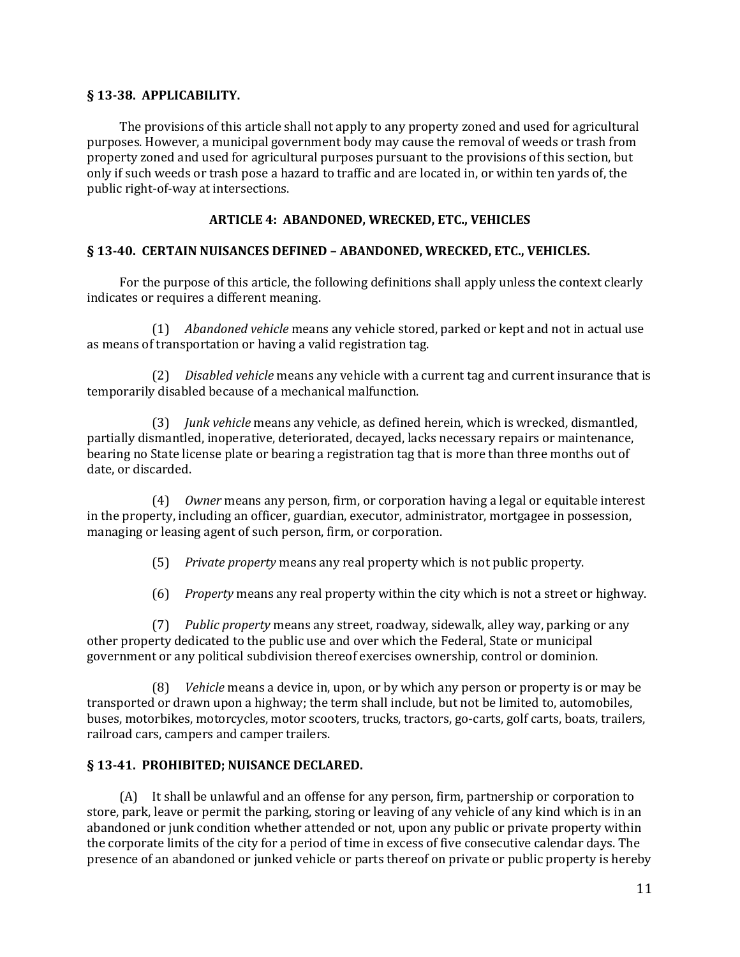#### **§ 13-38. APPLICABILITY.**

The provisions of this article shall not apply to any property zoned and used for agricultural purposes. However, a municipal government body may cause the removal of weeds or trash from property zoned and used for agricultural purposes pursuant to the provisions of this section, but only if such weeds or trash pose a hazard to traffic and are located in, or within ten yards of, the public right-of-way at intersections.

#### **ARTICLE 4: ABANDONED, WRECKED, ETC., VEHICLES**

#### **§ 13-40. CERTAIN NUISANCES DEFINED – ABANDONED, WRECKED, ETC., VEHICLES.**

For the purpose of this article, the following definitions shall apply unless the context clearly indicates or requires a different meaning.

(1) *Abandoned vehicle* means any vehicle stored, parked or kept and not in actual use as means of transportation or having a valid registration tag.

(2) *Disabled vehicle* means any vehicle with a current tag and current insurance that is temporarily disabled because of a mechanical malfunction.

(3) *Junk vehicle* means any vehicle, as defined herein, which is wrecked, dismantled, partially dismantled, inoperative, deteriorated, decayed, lacks necessary repairs or maintenance, bearing no State license plate or bearing a registration tag that is more than three months out of date, or discarded.

(4) *Owner* means any person, firm, or corporation having a legal or equitable interest in the property, including an officer, guardian, executor, administrator, mortgagee in possession, managing or leasing agent of such person, firm, or corporation.

(5) *Private property* means any real property which is not public property.

(6) *Property* means any real property within the city which is not a street or highway.

(7) *Public property* means any street, roadway, sidewalk, alley way, parking or any other property dedicated to the public use and over which the Federal, State or municipal government or any political subdivision thereof exercises ownership, control or dominion.

(8) *Vehicle* means a device in, upon, or by which any person or property is or may be transported or drawn upon a highway; the term shall include, but not be limited to, automobiles, buses, motorbikes, motorcycles, motor scooters, trucks, tractors, go-carts, golf carts, boats, trailers, railroad cars, campers and camper trailers.

## **§ 13-41. PROHIBITED; NUISANCE DECLARED.**

(A) It shall be unlawful and an offense for any person, firm, partnership or corporation to store, park, leave or permit the parking, storing or leaving of any vehicle of any kind which is in an abandoned or junk condition whether attended or not, upon any public or private property within the corporate limits of the city for a period of time in excess of five consecutive calendar days. The presence of an abandoned or junked vehicle or parts thereof on private or public property is hereby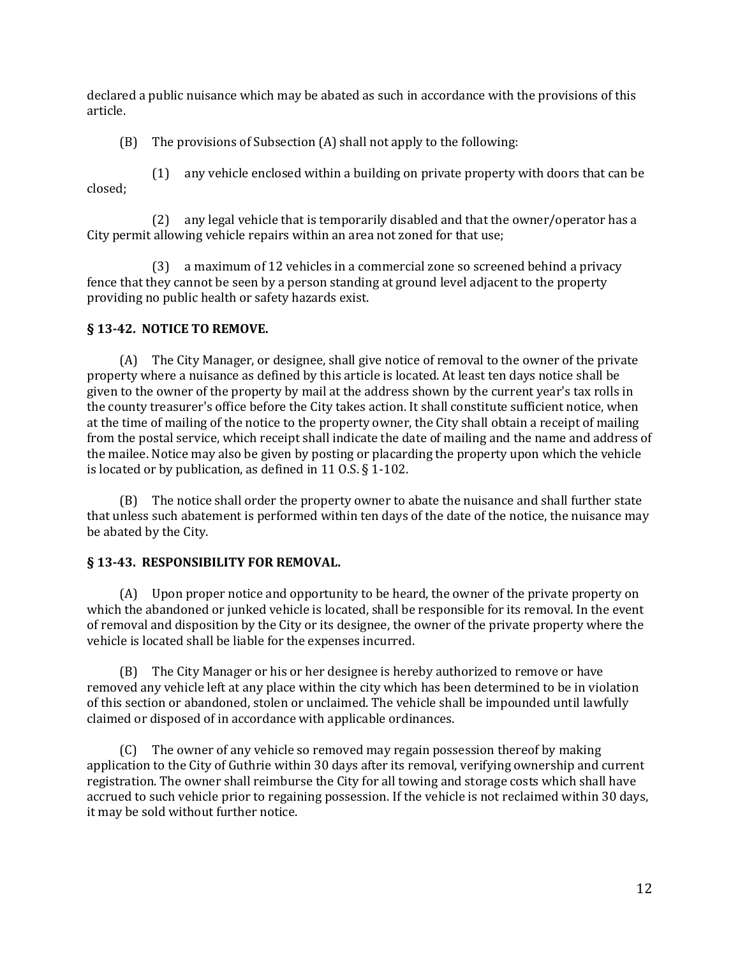declared a public nuisance which may be abated as such in accordance with the provisions of this article.

(B) The provisions of Subsection (A) shall not apply to the following:

(1) any vehicle enclosed within a building on private property with doors that can be closed;

(2) any legal vehicle that is temporarily disabled and that the owner/operator has a City permit allowing vehicle repairs within an area not zoned for that use;

(3) a maximum of 12 vehicles in a commercial zone so screened behind a privacy fence that they cannot be seen by a person standing at ground level adjacent to the property providing no public health or safety hazards exist.

# **§ 13-42. NOTICE TO REMOVE.**

(A) The City Manager, or designee, shall give notice of removal to the owner of the private property where a nuisance as defined by this article is located. At least ten days notice shall be given to the owner of the property by mail at the address shown by the current year's tax rolls in the county treasurer's office before the City takes action. It shall constitute sufficient notice, when at the time of mailing of the notice to the property owner, the City shall obtain a receipt of mailing from the postal service, which receipt shall indicate the date of mailing and the name and address of the mailee. Notice may also be given by posting or placarding the property upon which the vehicle is located or by publication, as defined in 11 O.S. § 1-102.

(B) The notice shall order the property owner to abate the nuisance and shall further state that unless such abatement is performed within ten days of the date of the notice, the nuisance may be abated by the City.

## **§ 13-43. RESPONSIBILITY FOR REMOVAL.**

(A) Upon proper notice and opportunity to be heard, the owner of the private property on which the abandoned or junked vehicle is located, shall be responsible for its removal. In the event of removal and disposition by the City or its designee, the owner of the private property where the vehicle is located shall be liable for the expenses incurred.

(B) The City Manager or his or her designee is hereby authorized to remove or have removed any vehicle left at any place within the city which has been determined to be in violation of this section or abandoned, stolen or unclaimed. The vehicle shall be impounded until lawfully claimed or disposed of in accordance with applicable ordinances.

(C) The owner of any vehicle so removed may regain possession thereof by making application to the City of Guthrie within 30 days after its removal, verifying ownership and current registration. The owner shall reimburse the City for all towing and storage costs which shall have accrued to such vehicle prior to regaining possession. If the vehicle is not reclaimed within 30 days, it may be sold without further notice.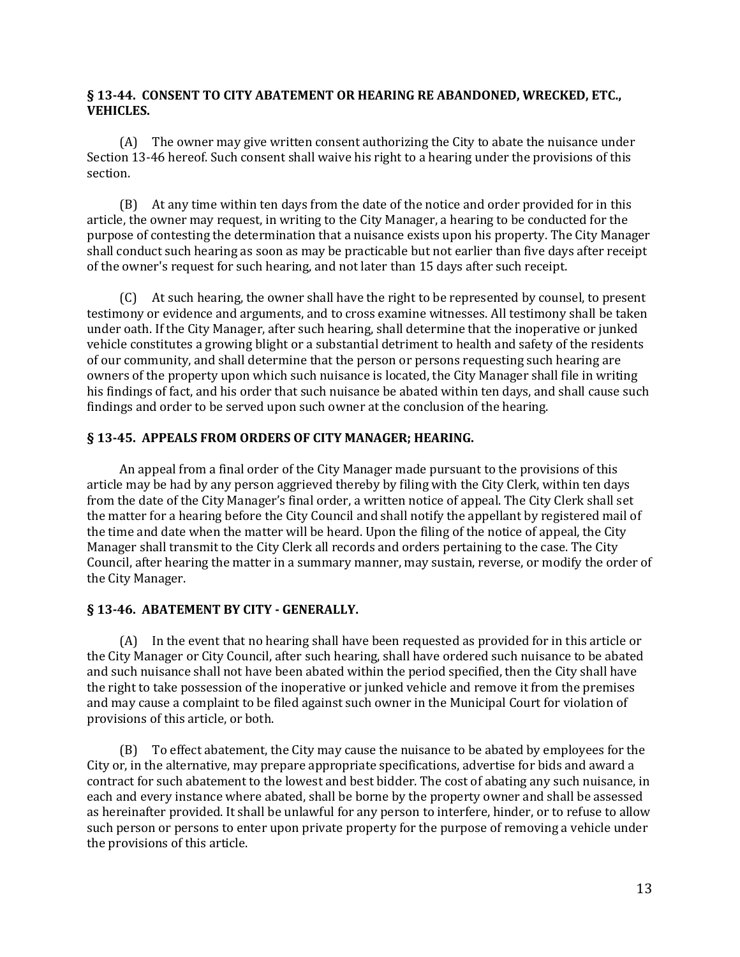#### **§ 13-44. CONSENT TO CITY ABATEMENT OR HEARING RE ABANDONED, WRECKED, ETC., VEHICLES.**

(A) The owner may give written consent authorizing the City to abate the nuisance under Section 13-46 hereof. Such consent shall waive his right to a hearing under the provisions of this section.

(B) At any time within ten days from the date of the notice and order provided for in this article, the owner may request, in writing to the City Manager, a hearing to be conducted for the purpose of contesting the determination that a nuisance exists upon his property. The City Manager shall conduct such hearing as soon as may be practicable but not earlier than five days after receipt of the owner's request for such hearing, and not later than 15 days after such receipt.

(C) At such hearing, the owner shall have the right to be represented by counsel, to present testimony or evidence and arguments, and to cross examine witnesses. All testimony shall be taken under oath. If the City Manager, after such hearing, shall determine that the inoperative or junked vehicle constitutes a growing blight or a substantial detriment to health and safety of the residents of our community, and shall determine that the person or persons requesting such hearing are owners of the property upon which such nuisance is located, the City Manager shall file in writing his findings of fact, and his order that such nuisance be abated within ten days, and shall cause such findings and order to be served upon such owner at the conclusion of the hearing.

## **§ 13-45. APPEALS FROM ORDERS OF CITY MANAGER; HEARING.**

An appeal from a final order of the City Manager made pursuant to the provisions of this article may be had by any person aggrieved thereby by filing with the City Clerk, within ten days from the date of the City Manager's final order, a written notice of appeal. The City Clerk shall set the matter for a hearing before the City Council and shall notify the appellant by registered mail of the time and date when the matter will be heard. Upon the filing of the notice of appeal, the City Manager shall transmit to the City Clerk all records and orders pertaining to the case. The City Council, after hearing the matter in a summary manner, may sustain, reverse, or modify the order of the City Manager.

#### **§ 13-46. ABATEMENT BY CITY - GENERALLY.**

(A) In the event that no hearing shall have been requested as provided for in this article or the City Manager or City Council, after such hearing, shall have ordered such nuisance to be abated and such nuisance shall not have been abated within the period specified, then the City shall have the right to take possession of the inoperative or junked vehicle and remove it from the premises and may cause a complaint to be filed against such owner in the Municipal Court for violation of provisions of this article, or both.

(B) To effect abatement, the City may cause the nuisance to be abated by employees for the City or, in the alternative, may prepare appropriate specifications, advertise for bids and award a contract for such abatement to the lowest and best bidder. The cost of abating any such nuisance, in each and every instance where abated, shall be borne by the property owner and shall be assessed as hereinafter provided. It shall be unlawful for any person to interfere, hinder, or to refuse to allow such person or persons to enter upon private property for the purpose of removing a vehicle under the provisions of this article.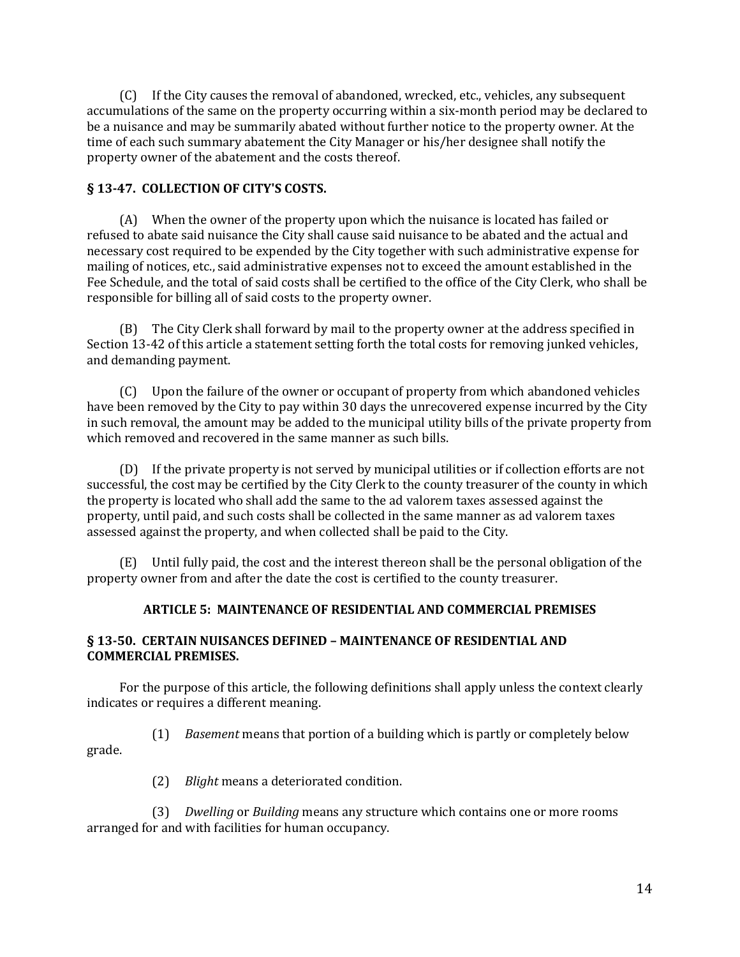(C) If the City causes the removal of abandoned, wrecked, etc., vehicles, any subsequent accumulations of the same on the property occurring within a six-month period may be declared to be a nuisance and may be summarily abated without further notice to the property owner. At the time of each such summary abatement the City Manager or his/her designee shall notify the property owner of the abatement and the costs thereof.

## **§ 13-47. COLLECTION OF CITY'S COSTS.**

(A) When the owner of the property upon which the nuisance is located has failed or refused to abate said nuisance the City shall cause said nuisance to be abated and the actual and necessary cost required to be expended by the City together with such administrative expense for mailing of notices, etc., said administrative expenses not to exceed the amount established in the Fee Schedule, and the total of said costs shall be certified to the office of the City Clerk, who shall be responsible for billing all of said costs to the property owner.

(B) The City Clerk shall forward by mail to the property owner at the address specified in Section 13-42 of this article a statement setting forth the total costs for removing junked vehicles, and demanding payment.

(C) Upon the failure of the owner or occupant of property from which abandoned vehicles have been removed by the City to pay within 30 days the unrecovered expense incurred by the City in such removal, the amount may be added to the municipal utility bills of the private property from which removed and recovered in the same manner as such bills.

(D) If the private property is not served by municipal utilities or if collection efforts are not successful, the cost may be certified by the City Clerk to the county treasurer of the county in which the property is located who shall add the same to the ad valorem taxes assessed against the property, until paid, and such costs shall be collected in the same manner as ad valorem taxes assessed against the property, and when collected shall be paid to the City.

(E) Until fully paid, the cost and the interest thereon shall be the personal obligation of the property owner from and after the date the cost is certified to the county treasurer.

## **ARTICLE 5: MAINTENANCE OF RESIDENTIAL AND COMMERCIAL PREMISES**

#### **§ 13-50. CERTAIN NUISANCES DEFINED – MAINTENANCE OF RESIDENTIAL AND COMMERCIAL PREMISES.**

For the purpose of this article, the following definitions shall apply unless the context clearly indicates or requires a different meaning.

(1) *Basement* means that portion of a building which is partly or completely below grade.

(2) *Blight* means a deteriorated condition.

(3) *Dwelling* or *Building* means any structure which contains one or more rooms arranged for and with facilities for human occupancy.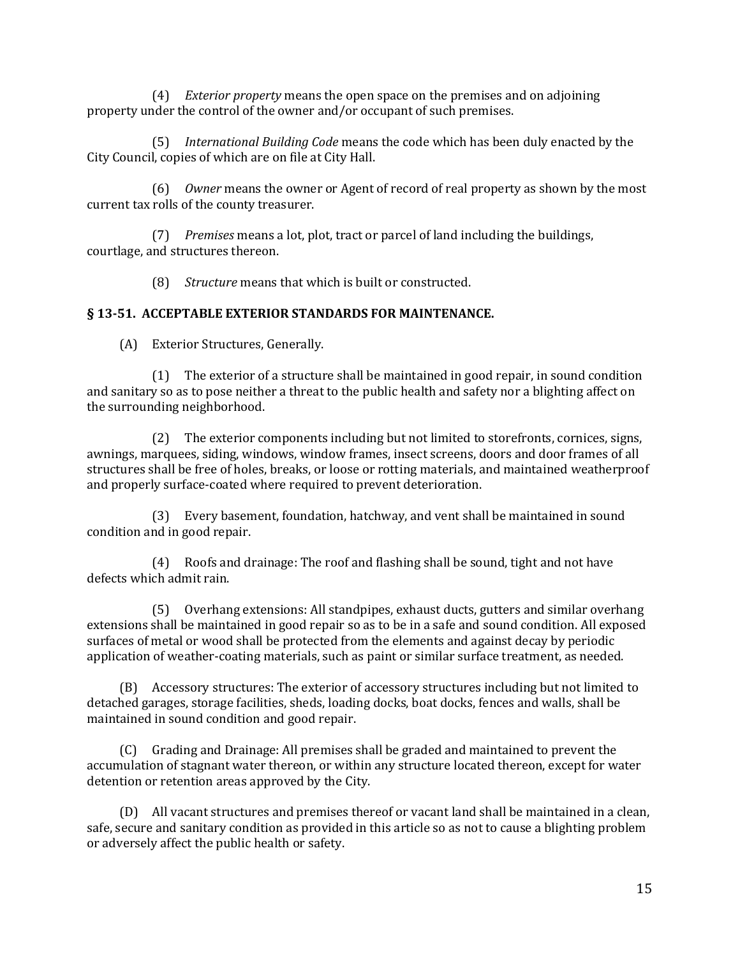(4) *Exterior property* means the open space on the premises and on adjoining property under the control of the owner and/or occupant of such premises.

(5) *International Building Code* means the code which has been duly enacted by the City Council, copies of which are on file at City Hall.

(6) *Owner* means the owner or Agent of record of real property as shown by the most current tax rolls of the county treasurer.

(7) *Premises* means a lot, plot, tract or parcel of land including the buildings, courtlage, and structures thereon.

(8) *Structure* means that which is built or constructed.

# **§ 13-51. ACCEPTABLE EXTERIOR STANDARDS FOR MAINTENANCE.**

(A) Exterior Structures, Generally.

(1) The exterior of a structure shall be maintained in good repair, in sound condition and sanitary so as to pose neither a threat to the public health and safety nor a blighting affect on the surrounding neighborhood.

(2) The exterior components including but not limited to storefronts, cornices, signs, awnings, marquees, siding, windows, window frames, insect screens, doors and door frames of all structures shall be free of holes, breaks, or loose or rotting materials, and maintained weatherproof and properly surface-coated where required to prevent deterioration.

(3) Every basement, foundation, hatchway, and vent shall be maintained in sound condition and in good repair.

(4) Roofs and drainage: The roof and flashing shall be sound, tight and not have defects which admit rain.

(5) Overhang extensions: All standpipes, exhaust ducts, gutters and similar overhang extensions shall be maintained in good repair so as to be in a safe and sound condition. All exposed surfaces of metal or wood shall be protected from the elements and against decay by periodic application of weather-coating materials, such as paint or similar surface treatment, as needed.

(B) Accessory structures: The exterior of accessory structures including but not limited to detached garages, storage facilities, sheds, loading docks, boat docks, fences and walls, shall be maintained in sound condition and good repair.

(C) Grading and Drainage: All premises shall be graded and maintained to prevent the accumulation of stagnant water thereon, or within any structure located thereon, except for water detention or retention areas approved by the City.

(D) All vacant structures and premises thereof or vacant land shall be maintained in a clean, safe, secure and sanitary condition as provided in this article so as not to cause a blighting problem or adversely affect the public health or safety.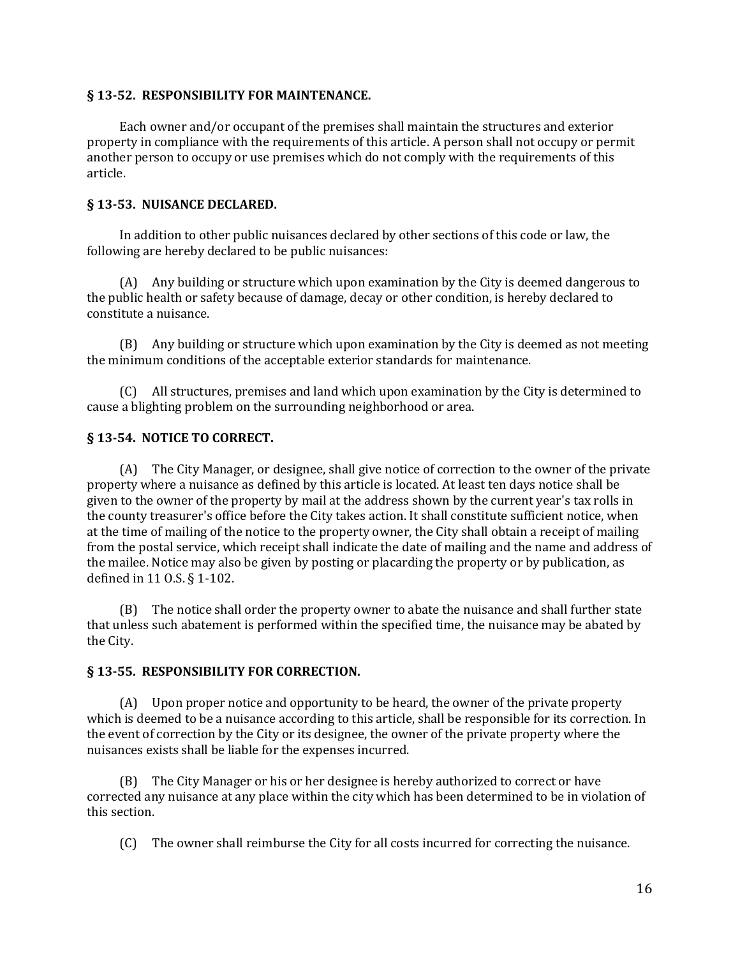#### **§ 13-52. RESPONSIBILITY FOR MAINTENANCE.**

Each owner and/or occupant of the premises shall maintain the structures and exterior property in compliance with the requirements of this article. A person shall not occupy or permit another person to occupy or use premises which do not comply with the requirements of this article.

#### **§ 13-53. NUISANCE DECLARED.**

In addition to other public nuisances declared by other sections of this code or law, the following are hereby declared to be public nuisances:

(A) Any building or structure which upon examination by the City is deemed dangerous to the public health or safety because of damage, decay or other condition, is hereby declared to constitute a nuisance.

(B) Any building or structure which upon examination by the City is deemed as not meeting the minimum conditions of the acceptable exterior standards for maintenance.

(C) All structures, premises and land which upon examination by the City is determined to cause a blighting problem on the surrounding neighborhood or area.

## **§ 13-54. NOTICE TO CORRECT.**

(A) The City Manager, or designee, shall give notice of correction to the owner of the private property where a nuisance as defined by this article is located. At least ten days notice shall be given to the owner of the property by mail at the address shown by the current year's tax rolls in the county treasurer's office before the City takes action. It shall constitute sufficient notice, when at the time of mailing of the notice to the property owner, the City shall obtain a receipt of mailing from the postal service, which receipt shall indicate the date of mailing and the name and address of the mailee. Notice may also be given by posting or placarding the property or by publication, as defined in 11 O.S. § 1-102.

(B) The notice shall order the property owner to abate the nuisance and shall further state that unless such abatement is performed within the specified time, the nuisance may be abated by the City.

## **§ 13-55. RESPONSIBILITY FOR CORRECTION.**

(A) Upon proper notice and opportunity to be heard, the owner of the private property which is deemed to be a nuisance according to this article, shall be responsible for its correction. In the event of correction by the City or its designee, the owner of the private property where the nuisances exists shall be liable for the expenses incurred.

(B) The City Manager or his or her designee is hereby authorized to correct or have corrected any nuisance at any place within the city which has been determined to be in violation of this section.

(C) The owner shall reimburse the City for all costs incurred for correcting the nuisance.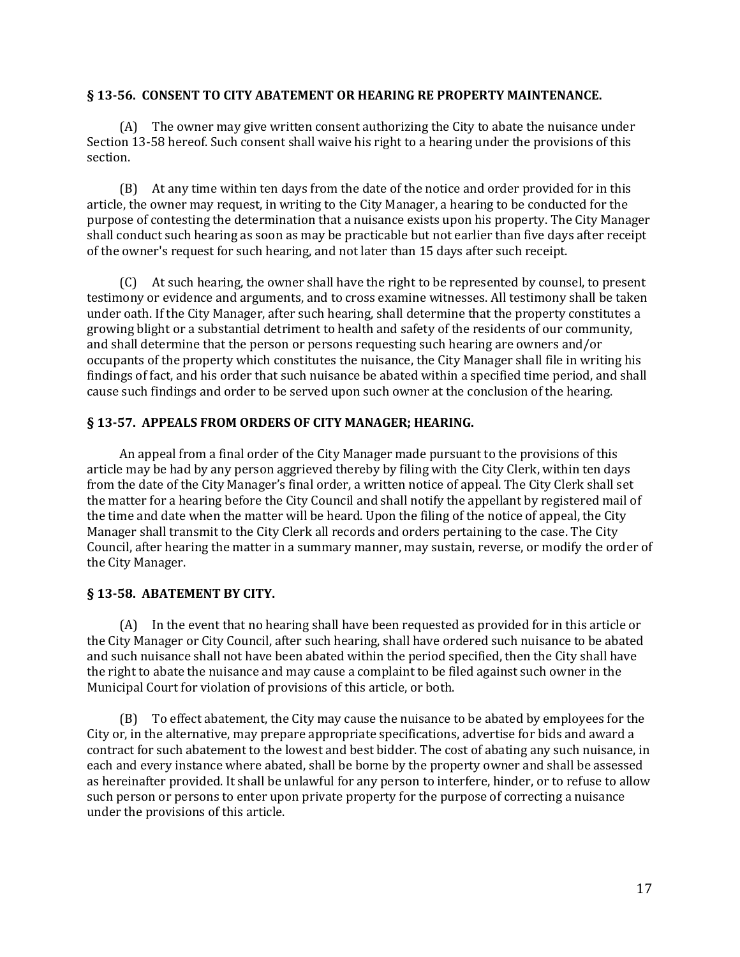#### **§ 13-56. CONSENT TO CITY ABATEMENT OR HEARING RE PROPERTY MAINTENANCE.**

(A) The owner may give written consent authorizing the City to abate the nuisance under Section 13-58 hereof. Such consent shall waive his right to a hearing under the provisions of this section.

(B) At any time within ten days from the date of the notice and order provided for in this article, the owner may request, in writing to the City Manager, a hearing to be conducted for the purpose of contesting the determination that a nuisance exists upon his property. The City Manager shall conduct such hearing as soon as may be practicable but not earlier than five days after receipt of the owner's request for such hearing, and not later than 15 days after such receipt.

(C) At such hearing, the owner shall have the right to be represented by counsel, to present testimony or evidence and arguments, and to cross examine witnesses. All testimony shall be taken under oath. If the City Manager, after such hearing, shall determine that the property constitutes a growing blight or a substantial detriment to health and safety of the residents of our community, and shall determine that the person or persons requesting such hearing are owners and/or occupants of the property which constitutes the nuisance, the City Manager shall file in writing his findings of fact, and his order that such nuisance be abated within a specified time period, and shall cause such findings and order to be served upon such owner at the conclusion of the hearing.

## **§ 13-57. APPEALS FROM ORDERS OF CITY MANAGER; HEARING.**

An appeal from a final order of the City Manager made pursuant to the provisions of this article may be had by any person aggrieved thereby by filing with the City Clerk, within ten days from the date of the City Manager's final order, a written notice of appeal. The City Clerk shall set the matter for a hearing before the City Council and shall notify the appellant by registered mail of the time and date when the matter will be heard. Upon the filing of the notice of appeal, the City Manager shall transmit to the City Clerk all records and orders pertaining to the case. The City Council, after hearing the matter in a summary manner, may sustain, reverse, or modify the order of the City Manager.

## **§ 13-58. ABATEMENT BY CITY.**

(A) In the event that no hearing shall have been requested as provided for in this article or the City Manager or City Council, after such hearing, shall have ordered such nuisance to be abated and such nuisance shall not have been abated within the period specified, then the City shall have the right to abate the nuisance and may cause a complaint to be filed against such owner in the Municipal Court for violation of provisions of this article, or both.

(B) To effect abatement, the City may cause the nuisance to be abated by employees for the City or, in the alternative, may prepare appropriate specifications, advertise for bids and award a contract for such abatement to the lowest and best bidder. The cost of abating any such nuisance, in each and every instance where abated, shall be borne by the property owner and shall be assessed as hereinafter provided. It shall be unlawful for any person to interfere, hinder, or to refuse to allow such person or persons to enter upon private property for the purpose of correcting a nuisance under the provisions of this article.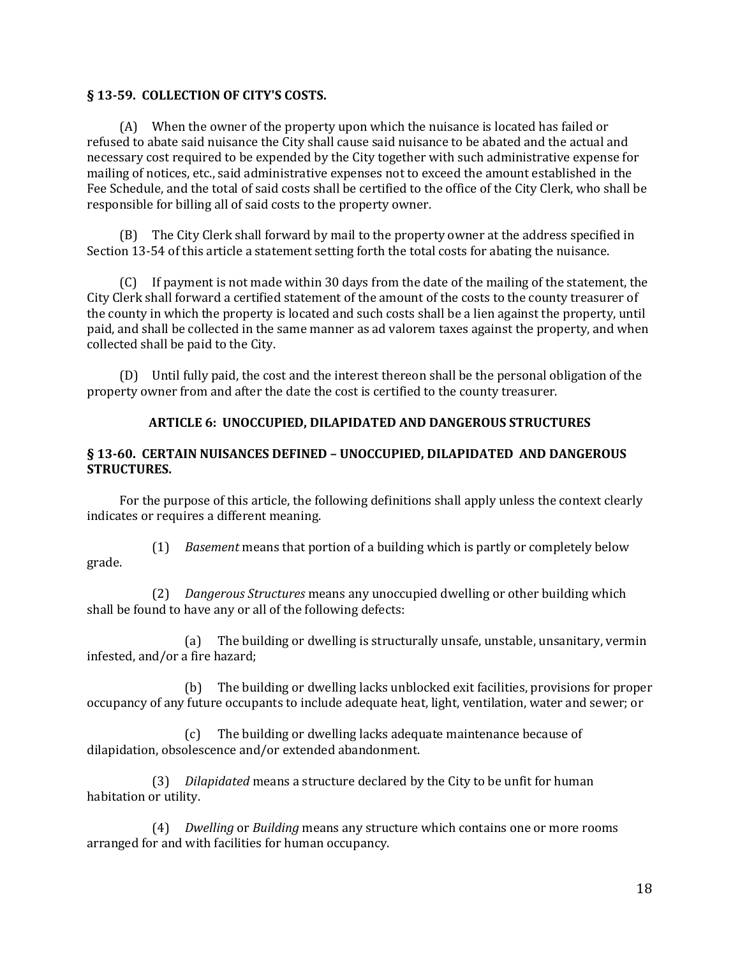#### **§ 13-59. COLLECTION OF CITY'S COSTS.**

(A) When the owner of the property upon which the nuisance is located has failed or refused to abate said nuisance the City shall cause said nuisance to be abated and the actual and necessary cost required to be expended by the City together with such administrative expense for mailing of notices, etc., said administrative expenses not to exceed the amount established in the Fee Schedule, and the total of said costs shall be certified to the office of the City Clerk, who shall be responsible for billing all of said costs to the property owner.

(B) The City Clerk shall forward by mail to the property owner at the address specified in Section 13-54 of this article a statement setting forth the total costs for abating the nuisance.

(C) If payment is not made within 30 days from the date of the mailing of the statement, the City Clerk shall forward a certified statement of the amount of the costs to the county treasurer of the county in which the property is located and such costs shall be a lien against the property, until paid, and shall be collected in the same manner as ad valorem taxes against the property, and when collected shall be paid to the City.

(D) Until fully paid, the cost and the interest thereon shall be the personal obligation of the property owner from and after the date the cost is certified to the county treasurer.

## **ARTICLE 6: UNOCCUPIED, DILAPIDATED AND DANGEROUS STRUCTURES**

#### **§ 13-60. CERTAIN NUISANCES DEFINED – UNOCCUPIED, DILAPIDATED AND DANGEROUS STRUCTURES.**

For the purpose of this article, the following definitions shall apply unless the context clearly indicates or requires a different meaning.

(1) *Basement* means that portion of a building which is partly or completely below grade.

(2) *Dangerous Structures* means any unoccupied dwelling or other building which shall be found to have any or all of the following defects:

(a) The building or dwelling is structurally unsafe, unstable, unsanitary, vermin infested, and/or a fire hazard;

(b) The building or dwelling lacks unblocked exit facilities, provisions for proper occupancy of any future occupants to include adequate heat, light, ventilation, water and sewer; or

(c) The building or dwelling lacks adequate maintenance because of dilapidation, obsolescence and/or extended abandonment.

(3) *Dilapidated* means a structure declared by the City to be unfit for human habitation or utility.

(4) *Dwelling* or *Building* means any structure which contains one or more rooms arranged for and with facilities for human occupancy.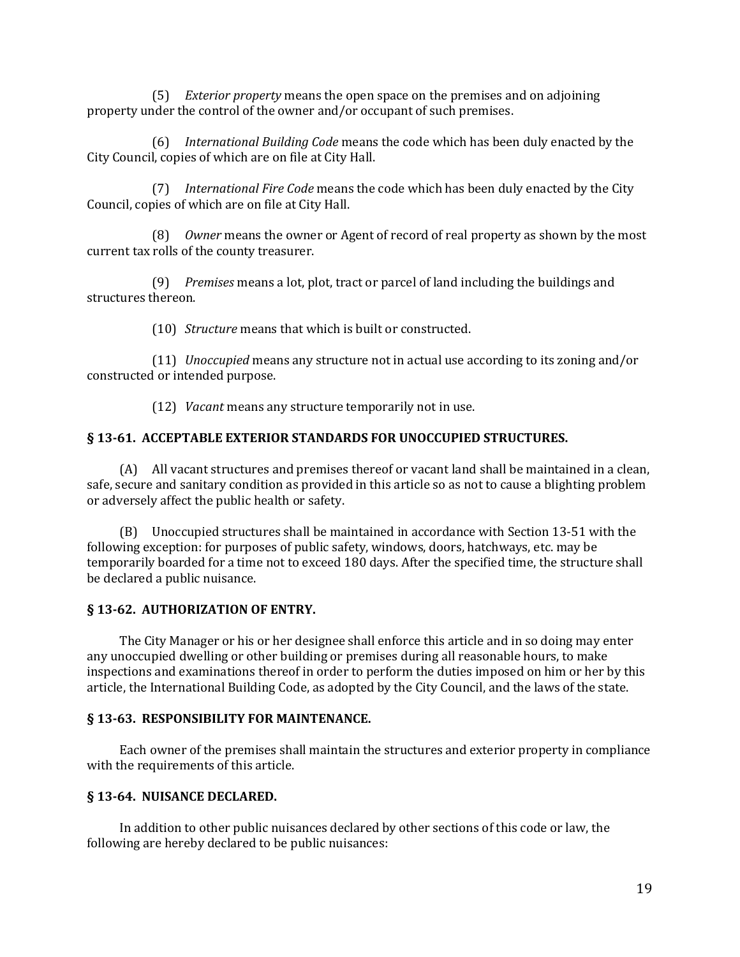(5) *Exterior property* means the open space on the premises and on adjoining property under the control of the owner and/or occupant of such premises.

(6) *International Building Code* means the code which has been duly enacted by the City Council, copies of which are on file at City Hall.

(7) *International Fire Code* means the code which has been duly enacted by the City Council, copies of which are on file at City Hall.

(8) *Owner* means the owner or Agent of record of real property as shown by the most current tax rolls of the county treasurer.

(9) *Premises* means a lot, plot, tract or parcel of land including the buildings and structures thereon.

(10) *Structure* means that which is built or constructed.

(11) *Unoccupied* means any structure not in actual use according to its zoning and/or constructed or intended purpose.

(12) *Vacant* means any structure temporarily not in use.

#### **§ 13-61. ACCEPTABLE EXTERIOR STANDARDS FOR UNOCCUPIED STRUCTURES.**

(A) All vacant structures and premises thereof or vacant land shall be maintained in a clean, safe, secure and sanitary condition as provided in this article so as not to cause a blighting problem or adversely affect the public health or safety.

(B) Unoccupied structures shall be maintained in accordance with Section 13-51 with the following exception: for purposes of public safety, windows, doors, hatchways, etc. may be temporarily boarded for a time not to exceed 180 days. After the specified time, the structure shall be declared a public nuisance.

#### **§ 13-62. AUTHORIZATION OF ENTRY.**

The City Manager or his or her designee shall enforce this article and in so doing may enter any unoccupied dwelling or other building or premises during all reasonable hours, to make inspections and examinations thereof in order to perform the duties imposed on him or her by this article, the International Building Code, as adopted by the City Council, and the laws of the state.

#### **§ 13-63. RESPONSIBILITY FOR MAINTENANCE.**

Each owner of the premises shall maintain the structures and exterior property in compliance with the requirements of this article.

#### **§ 13-64. NUISANCE DECLARED.**

In addition to other public nuisances declared by other sections of this code or law, the following are hereby declared to be public nuisances: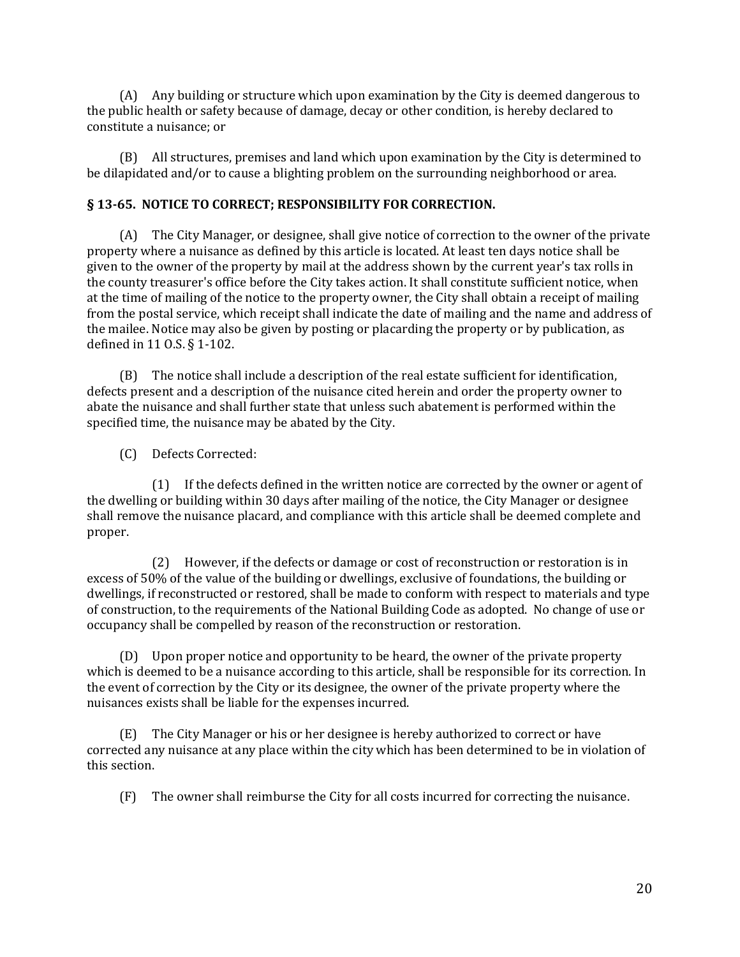(A) Any building or structure which upon examination by the City is deemed dangerous to the public health or safety because of damage, decay or other condition, is hereby declared to constitute a nuisance; or

(B) All structures, premises and land which upon examination by the City is determined to be dilapidated and/or to cause a blighting problem on the surrounding neighborhood or area.

#### **§ 13-65. NOTICE TO CORRECT; RESPONSIBILITY FOR CORRECTION.**

(A) The City Manager, or designee, shall give notice of correction to the owner of the private property where a nuisance as defined by this article is located. At least ten days notice shall be given to the owner of the property by mail at the address shown by the current year's tax rolls in the county treasurer's office before the City takes action. It shall constitute sufficient notice, when at the time of mailing of the notice to the property owner, the City shall obtain a receipt of mailing from the postal service, which receipt shall indicate the date of mailing and the name and address of the mailee. Notice may also be given by posting or placarding the property or by publication, as defined in 11 O.S. § 1-102.

(B) The notice shall include a description of the real estate sufficient for identification, defects present and a description of the nuisance cited herein and order the property owner to abate the nuisance and shall further state that unless such abatement is performed within the specified time, the nuisance may be abated by the City.

(C) Defects Corrected:

(1) If the defects defined in the written notice are corrected by the owner or agent of the dwelling or building within 30 days after mailing of the notice, the City Manager or designee shall remove the nuisance placard, and compliance with this article shall be deemed complete and proper.

(2) However, if the defects or damage or cost of reconstruction or restoration is in excess of 50% of the value of the building or dwellings, exclusive of foundations, the building or dwellings, if reconstructed or restored, shall be made to conform with respect to materials and type of construction, to the requirements of the National Building Code as adopted. No change of use or occupancy shall be compelled by reason of the reconstruction or restoration.

(D) Upon proper notice and opportunity to be heard, the owner of the private property which is deemed to be a nuisance according to this article, shall be responsible for its correction. In the event of correction by the City or its designee, the owner of the private property where the nuisances exists shall be liable for the expenses incurred.

(E) The City Manager or his or her designee is hereby authorized to correct or have corrected any nuisance at any place within the city which has been determined to be in violation of this section.

(F) The owner shall reimburse the City for all costs incurred for correcting the nuisance.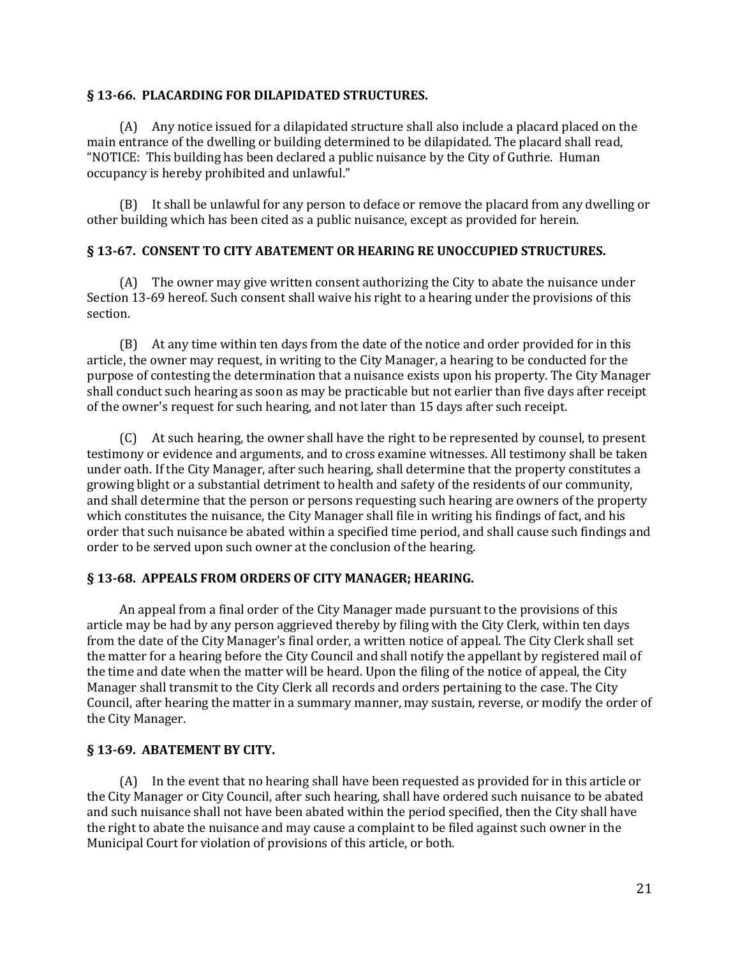#### **§ 13-66. PLACARDING FOR DILAPIDATED STRUCTURES.**

(A) Any notice issued for a dilapidated structure shall also include a placard placed on the main entrance of the dwelling or building determined to be dilapidated. The placard shall read, "NOTICE: This building has been declared a public nuisance by the City of Guthrie. Human occupancy is hereby prohibited and unlawful."

(B) It shall be unlawful for any person to deface or remove the placard from any dwelling or other building which has been cited as a public nuisance, except as provided for herein.

## **§ 13-67. CONSENT TO CITY ABATEMENT OR HEARING RE UNOCCUPIED STRUCTURES.**

(A) The owner may give written consent authorizing the City to abate the nuisance under Section 13-69 hereof. Such consent shall waive his right to a hearing under the provisions of this section.

(B) At any time within ten days from the date of the notice and order provided for in this article, the owner may request, in writing to the City Manager, a hearing to be conducted for the purpose of contesting the determination that a nuisance exists upon his property. The City Manager shall conduct such hearing as soon as may be practicable but not earlier than five days after receipt of the owner's request for such hearing, and not later than 15 days after such receipt.

(C) At such hearing, the owner shall have the right to be represented by counsel, to present testimony or evidence and arguments, and to cross examine witnesses. All testimony shall be taken under oath. If the City Manager, after such hearing, shall determine that the property constitutes a growing blight or a substantial detriment to health and safety of the residents of our community, and shall determine that the person or persons requesting such hearing are owners of the property which constitutes the nuisance, the City Manager shall file in writing his findings of fact, and his order that such nuisance be abated within a specified time period, and shall cause such findings and order to be served upon such owner at the conclusion of the hearing.

#### **§ 13-68. APPEALS FROM ORDERS OF CITY MANAGER; HEARING.**

An appeal from a final order of the City Manager made pursuant to the provisions of this article may be had by any person aggrieved thereby by filing with the City Clerk, within ten days from the date of the City Manager's final order, a written notice of appeal. The City Clerk shall set the matter for a hearing before the City Council and shall notify the appellant by registered mail of the time and date when the matter will be heard. Upon the filing of the notice of appeal, the City Manager shall transmit to the City Clerk all records and orders pertaining to the case. The City Council, after hearing the matter in a summary manner, may sustain, reverse, or modify the order of the City Manager.

## **§ 13-69. ABATEMENT BY CITY.**

(A) In the event that no hearing shall have been requested as provided for in this article or the City Manager or City Council, after such hearing, shall have ordered such nuisance to be abated and such nuisance shall not have been abated within the period specified, then the City shall have the right to abate the nuisance and may cause a complaint to be filed against such owner in the Municipal Court for violation of provisions of this article, or both.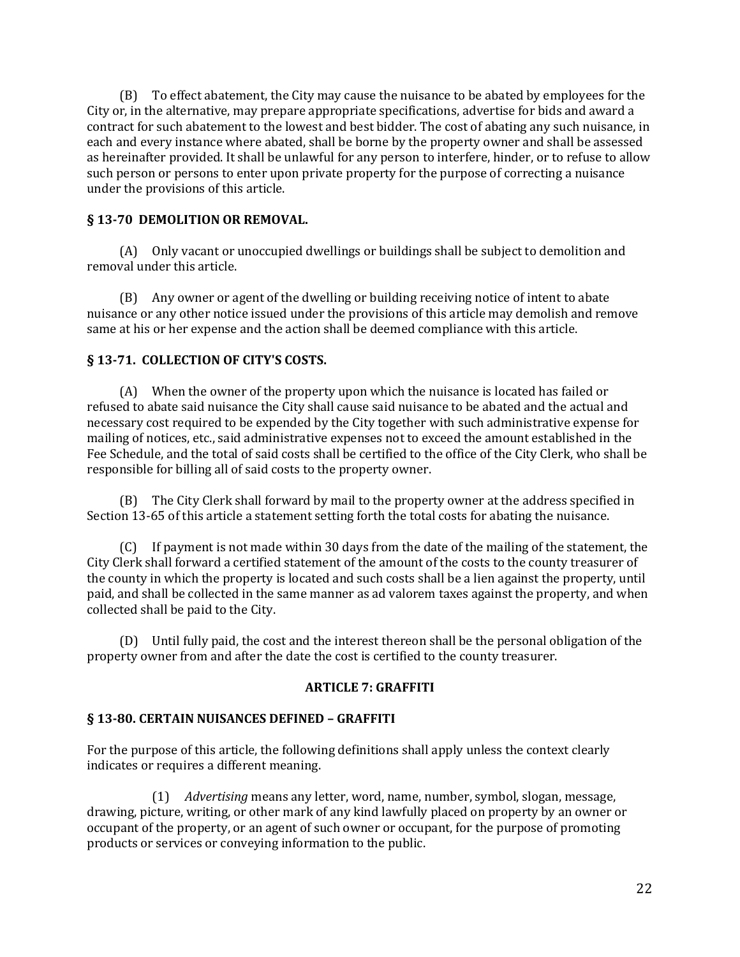(B) To effect abatement, the City may cause the nuisance to be abated by employees for the City or, in the alternative, may prepare appropriate specifications, advertise for bids and award a contract for such abatement to the lowest and best bidder. The cost of abating any such nuisance, in each and every instance where abated, shall be borne by the property owner and shall be assessed as hereinafter provided. It shall be unlawful for any person to interfere, hinder, or to refuse to allow such person or persons to enter upon private property for the purpose of correcting a nuisance under the provisions of this article.

# **§ 13-70 DEMOLITION OR REMOVAL.**

(A) Only vacant or unoccupied dwellings or buildings shall be subject to demolition and removal under this article.

(B) Any owner or agent of the dwelling or building receiving notice of intent to abate nuisance or any other notice issued under the provisions of this article may demolish and remove same at his or her expense and the action shall be deemed compliance with this article.

# **§ 13-71. COLLECTION OF CITY'S COSTS.**

(A) When the owner of the property upon which the nuisance is located has failed or refused to abate said nuisance the City shall cause said nuisance to be abated and the actual and necessary cost required to be expended by the City together with such administrative expense for mailing of notices, etc., said administrative expenses not to exceed the amount established in the Fee Schedule, and the total of said costs shall be certified to the office of the City Clerk, who shall be responsible for billing all of said costs to the property owner.

(B) The City Clerk shall forward by mail to the property owner at the address specified in Section 13-65 of this article a statement setting forth the total costs for abating the nuisance.

(C) If payment is not made within 30 days from the date of the mailing of the statement, the City Clerk shall forward a certified statement of the amount of the costs to the county treasurer of the county in which the property is located and such costs shall be a lien against the property, until paid, and shall be collected in the same manner as ad valorem taxes against the property, and when collected shall be paid to the City.

(D) Until fully paid, the cost and the interest thereon shall be the personal obligation of the property owner from and after the date the cost is certified to the county treasurer.

## **ARTICLE 7: GRAFFITI**

## **§ 13-80. CERTAIN NUISANCES DEFINED – GRAFFITI**

For the purpose of this article, the following definitions shall apply unless the context clearly indicates or requires a different meaning.

(1) *Advertising* means any letter, word, name, number, symbol, slogan, message, drawing, picture, writing, or other mark of any kind lawfully placed on property by an owner or occupant of the property, or an agent of such owner or occupant, for the purpose of promoting products or services or conveying information to the public.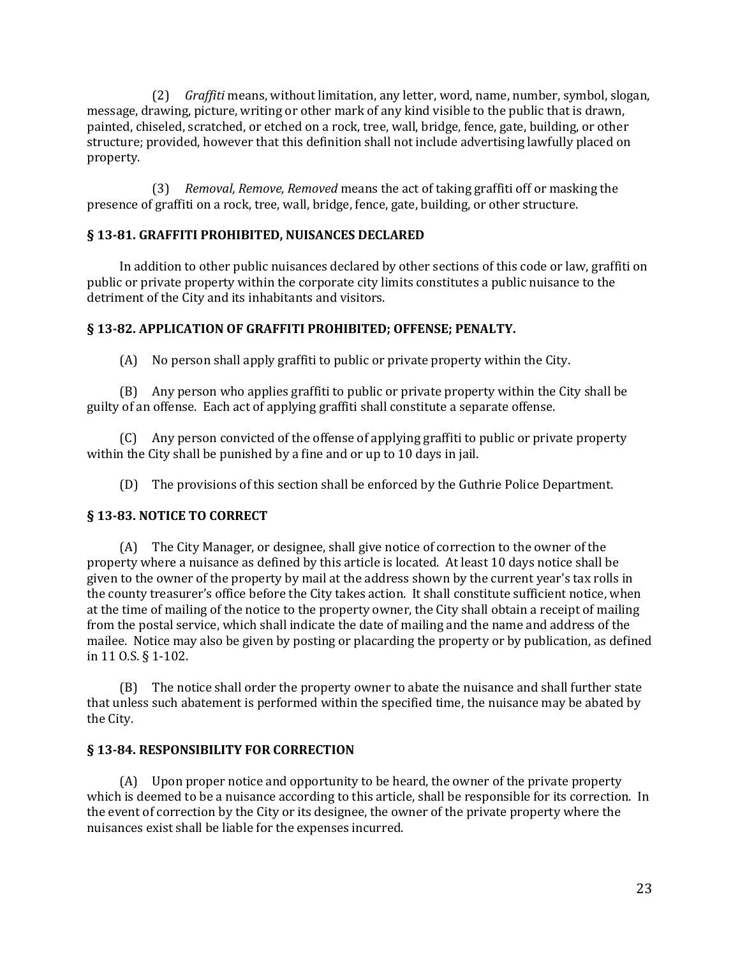(2) *Graffiti* means, without limitation, any letter, word, name, number, symbol, slogan, message, drawing, picture, writing or other mark of any kind visible to the public that is drawn, painted, chiseled, scratched, or etched on a rock, tree, wall, bridge, fence, gate, building, or other structure; provided, however that this definition shall not include advertising lawfully placed on property.

(3) *Removal, Remove, Removed* means the act of taking graffiti off or masking the presence of graffiti on a rock, tree, wall, bridge, fence, gate, building, or other structure.

# **§ 13-81. GRAFFITI PROHIBITED, NUISANCES DECLARED**

In addition to other public nuisances declared by other sections of this code or law, graffiti on public or private property within the corporate city limits constitutes a public nuisance to the detriment of the City and its inhabitants and visitors.

## **§ 13-82. APPLICATION OF GRAFFITI PROHIBITED; OFFENSE; PENALTY.**

(A) No person shall apply graffiti to public or private property within the City.

(B) Any person who applies graffiti to public or private property within the City shall be guilty of an offense. Each act of applying graffiti shall constitute a separate offense.

(C) Any person convicted of the offense of applying graffiti to public or private property within the City shall be punished by a fine and or up to 10 days in jail.

(D) The provisions of this section shall be enforced by the Guthrie Police Department.

## **§ 13-83. NOTICE TO CORRECT**

(A) The City Manager, or designee, shall give notice of correction to the owner of the property where a nuisance as defined by this article is located. At least 10 days notice shall be given to the owner of the property by mail at the address shown by the current year's tax rolls in the county treasurer's office before the City takes action. It shall constitute sufficient notice, when at the time of mailing of the notice to the property owner, the City shall obtain a receipt of mailing from the postal service, which shall indicate the date of mailing and the name and address of the mailee. Notice may also be given by posting or placarding the property or by publication, as defined in 11 O.S. § 1-102.

(B) The notice shall order the property owner to abate the nuisance and shall further state that unless such abatement is performed within the specified time, the nuisance may be abated by the City.

#### **§ 13-84. RESPONSIBILITY FOR CORRECTION**

(A) Upon proper notice and opportunity to be heard, the owner of the private property which is deemed to be a nuisance according to this article, shall be responsible for its correction. In the event of correction by the City or its designee, the owner of the private property where the nuisances exist shall be liable for the expenses incurred.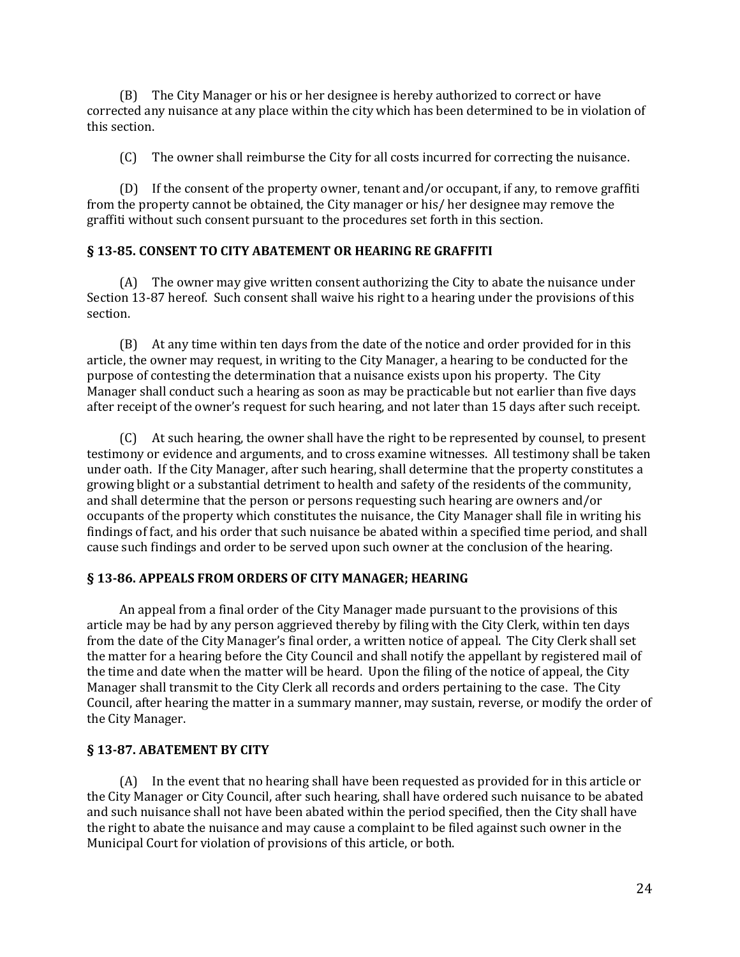(B) The City Manager or his or her designee is hereby authorized to correct or have corrected any nuisance at any place within the city which has been determined to be in violation of this section.

(C) The owner shall reimburse the City for all costs incurred for correcting the nuisance.

(D) If the consent of the property owner, tenant and/or occupant, if any, to remove graffiti from the property cannot be obtained, the City manager or his/ her designee may remove the graffiti without such consent pursuant to the procedures set forth in this section.

## **§ 13-85. CONSENT TO CITY ABATEMENT OR HEARING RE GRAFFITI**

(A) The owner may give written consent authorizing the City to abate the nuisance under Section 13-87 hereof. Such consent shall waive his right to a hearing under the provisions of this section.

(B) At any time within ten days from the date of the notice and order provided for in this article, the owner may request, in writing to the City Manager, a hearing to be conducted for the purpose of contesting the determination that a nuisance exists upon his property. The City Manager shall conduct such a hearing as soon as may be practicable but not earlier than five days after receipt of the owner's request for such hearing, and not later than 15 days after such receipt.

(C) At such hearing, the owner shall have the right to be represented by counsel, to present testimony or evidence and arguments, and to cross examine witnesses. All testimony shall be taken under oath. If the City Manager, after such hearing, shall determine that the property constitutes a growing blight or a substantial detriment to health and safety of the residents of the community, and shall determine that the person or persons requesting such hearing are owners and/or occupants of the property which constitutes the nuisance, the City Manager shall file in writing his findings of fact, and his order that such nuisance be abated within a specified time period, and shall cause such findings and order to be served upon such owner at the conclusion of the hearing.

## **§ 13-86. APPEALS FROM ORDERS OF CITY MANAGER; HEARING**

An appeal from a final order of the City Manager made pursuant to the provisions of this article may be had by any person aggrieved thereby by filing with the City Clerk, within ten days from the date of the City Manager's final order, a written notice of appeal. The City Clerk shall set the matter for a hearing before the City Council and shall notify the appellant by registered mail of the time and date when the matter will be heard. Upon the filing of the notice of appeal, the City Manager shall transmit to the City Clerk all records and orders pertaining to the case. The City Council, after hearing the matter in a summary manner, may sustain, reverse, or modify the order of the City Manager.

## **§ 13-87. ABATEMENT BY CITY**

(A) In the event that no hearing shall have been requested as provided for in this article or the City Manager or City Council, after such hearing, shall have ordered such nuisance to be abated and such nuisance shall not have been abated within the period specified, then the City shall have the right to abate the nuisance and may cause a complaint to be filed against such owner in the Municipal Court for violation of provisions of this article, or both.